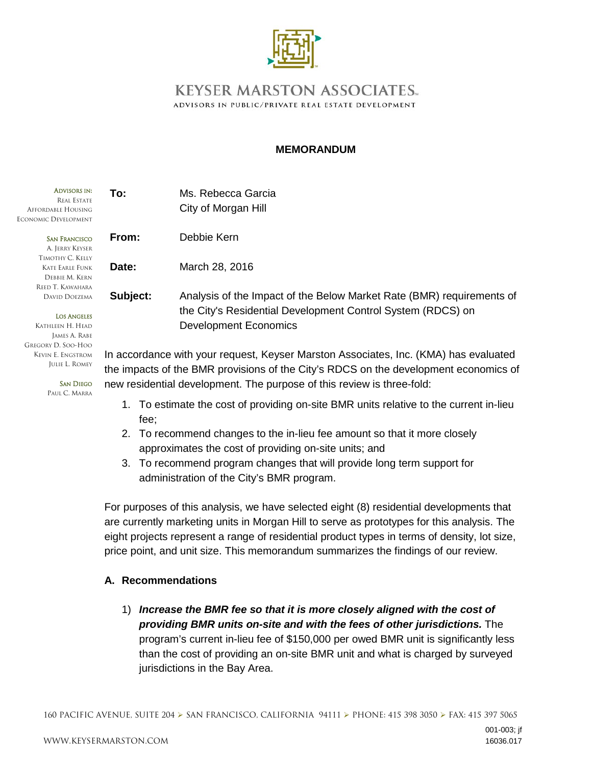

## **KEYSER MARSTON ASSOCIATES.** ADVISORS IN PUBLIC/PRIVATE REAL ESTATE DEVELOPMENT

## **MEMORANDUM**

| <b>ADVISORS IN:</b><br><b>REAL ESTATE</b><br>AFFORDABLE HOUSING<br>ECONOMIC DEVELOPMENT | To:      | Ms. Rebecca Garcia<br>City of Morgan Hill                                                                                            |
|-----------------------------------------------------------------------------------------|----------|--------------------------------------------------------------------------------------------------------------------------------------|
| <b>SAN FRANCISCO</b><br>A. Jerry Keyser                                                 | From:    | Debbie Kern                                                                                                                          |
| TIMOTHY C. KELLY<br>KATE EARLE FUNK<br>DEBBIE M. KERN                                   | Date:    | March 28, 2016                                                                                                                       |
| REED T. KAWAHARA<br>DAVID DOEZEMA<br><b>LOS ANGELES</b>                                 | Subject: | Analysis of the Impact of the Below Market Rate (BMR) requirements of<br>the City's Residential Development Control System (RDCS) on |
| Kathleen H. Head<br>James A. Rabe<br>GREGORY D. SOO-HOO                                 |          | <b>Development Economics</b>                                                                                                         |
| Kevin E. Engstrom                                                                       |          | In accordance with your request Keyser Marston Associates Inc. (KMA) has evaluated                                                   |

In accordance with your request, Keyser Marston Associates, Inc. (KMA) has evaluated the impacts of the BMR provisions of the City's RDCS on the development economics of new residential development. The purpose of this review is three-fold:

- 1. To estimate the cost of providing on-site BMR units relative to the current in-lieu fee;
- 2. To recommend changes to the in-lieu fee amount so that it more closely approximates the cost of providing on-site units; and
- 3. To recommend program changes that will provide long term support for administration of the City's BMR program.

For purposes of this analysis, we have selected eight (8) residential developments that are currently marketing units in Morgan Hill to serve as prototypes for this analysis. The eight projects represent a range of residential product types in terms of density, lot size, price point, and unit size. This memorandum summarizes the findings of our review.

## **A. Recommendations**

1) *Increase the BMR fee so that it is more closely aligned with the cost of providing BMR units on-site and with the fees of other jurisdictions.* The program's current in-lieu fee of \$150,000 per owed BMR unit is significantly less than the cost of providing an on-site BMR unit and what is charged by surveyed jurisdictions in the Bay Area.

JULIE L. ROMEY SAN DIEGO

PAUL C. MARRA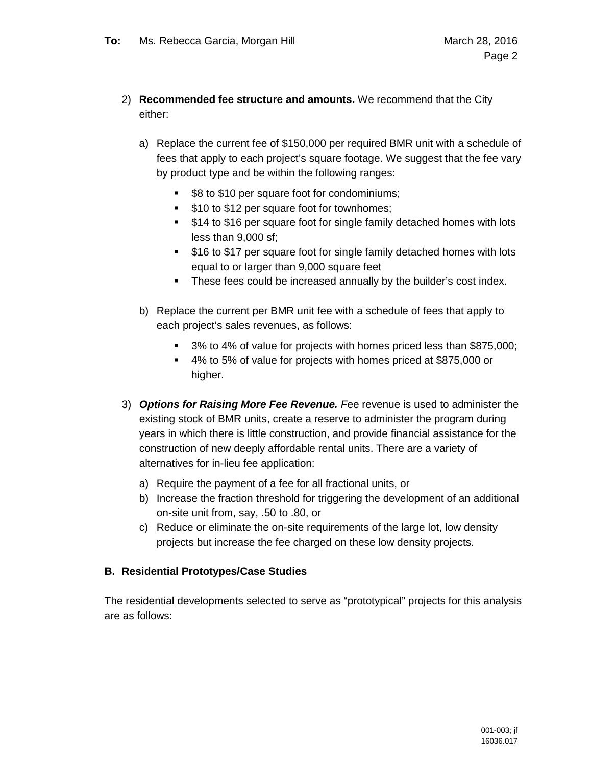- 2) **Recommended fee structure and amounts.** We recommend that the City either:
	- a) Replace the current fee of \$150,000 per required BMR unit with a schedule of fees that apply to each project's square footage. We suggest that the fee vary by product type and be within the following ranges:
		- **\$8 to \$10 per square foot for condominiums;**
		- **510 to \$12 per square foot for townhomes;**
		- **514 to \$16 per square foot for single family detached homes with lots** less than 9,000 sf;
		- \$16 to \$17 per square foot for single family detached homes with lots equal to or larger than 9,000 square feet
		- **These fees could be increased annually by the builder's cost index.**
	- b) Replace the current per BMR unit fee with a schedule of fees that apply to each project's sales revenues, as follows:
		- <sup>3</sup> 3% to 4% of value for projects with homes priced less than \$875,000;
		- 4% to 5% of value for projects with homes priced at \$875,000 or higher.
- 3) *Options for Raising More Fee Revenue. F*ee revenue is used to administer the existing stock of BMR units, create a reserve to administer the program during years in which there is little construction, and provide financial assistance for the construction of new deeply affordable rental units. There are a variety of alternatives for in-lieu fee application:
	- a) Require the payment of a fee for all fractional units, or
	- b) Increase the fraction threshold for triggering the development of an additional on-site unit from, say, .50 to .80, or
	- c) Reduce or eliminate the on-site requirements of the large lot, low density projects but increase the fee charged on these low density projects.

## **B. Residential Prototypes/Case Studies**

The residential developments selected to serve as "prototypical" projects for this analysis are as follows: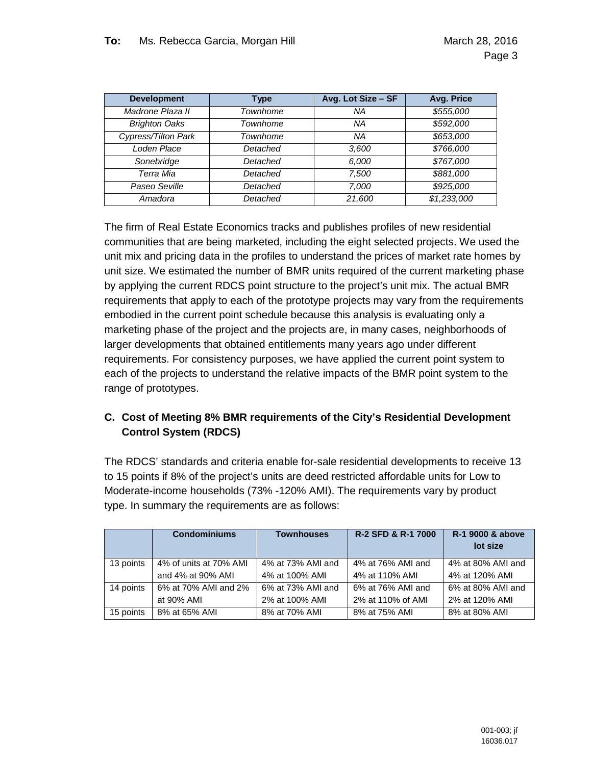| <b>Development</b>   | <b>Type</b> | Avg. Lot Size - SF | Avg. Price  |
|----------------------|-------------|--------------------|-------------|
| Madrone Plaza II     | Townhome    | <b>NA</b>          | \$555,000   |
| <b>Brighton Oaks</b> | Townhome    | NA                 | \$592,000   |
| Cypress/Tilton Park  | Townhome    | NA                 | \$653,000   |
| Loden Place          | Detached    | 3,600              | \$766,000   |
| Sonebridge           | Detached    | 6,000              | \$767,000   |
| Terra Mia            | Detached    | 7.500              | \$881,000   |
| Paseo Seville        | Detached    | 7.000              | \$925,000   |
| Amadora              | Detached    | 21,600             | \$1,233,000 |

The firm of Real Estate Economics tracks and publishes profiles of new residential communities that are being marketed, including the eight selected projects. We used the unit mix and pricing data in the profiles to understand the prices of market rate homes by unit size. We estimated the number of BMR units required of the current marketing phase by applying the current RDCS point structure to the project's unit mix. The actual BMR requirements that apply to each of the prototype projects may vary from the requirements embodied in the current point schedule because this analysis is evaluating only a marketing phase of the project and the projects are, in many cases, neighborhoods of larger developments that obtained entitlements many years ago under different requirements. For consistency purposes, we have applied the current point system to each of the projects to understand the relative impacts of the BMR point system to the range of prototypes.

## **C. Cost of Meeting 8% BMR requirements of the City's Residential Development Control System (RDCS)**

The RDCS' standards and criteria enable for-sale residential developments to receive 13 to 15 points if 8% of the project's units are deed restricted affordable units for Low to Moderate-income households (73% -120% AMI). The requirements vary by product type. In summary the requirements are as follows:

|           | <b>Condominiums</b>    | <b>Townhouses</b> | <b>R-2 SFD &amp; R-1 7000</b> | R-1 9000 & above<br>lot size |
|-----------|------------------------|-------------------|-------------------------------|------------------------------|
| 13 points | 4% of units at 70% AMI | 4% at 73% AMI and | 4% at 76% AMI and             | 4% at 80% AMI and            |
|           | and 4% at 90% AMI      | 4% at 100% AMI    | 4% at 110% AMI                | 4% at 120% AMI               |
| 14 points | 6% at 70% AMI and 2%   | 6% at 73% AMI and | 6% at 76% AMI and             | 6% at 80% AMI and            |
|           | at 90% AMI             | 2% at 100% AMI    | 2% at 110% of AMI             | 2% at 120% AMI               |
| 15 points | 8% at 65% AMI          | 8% at 70% AMI     | 8% at 75% AMI                 | 8% at 80% AMI                |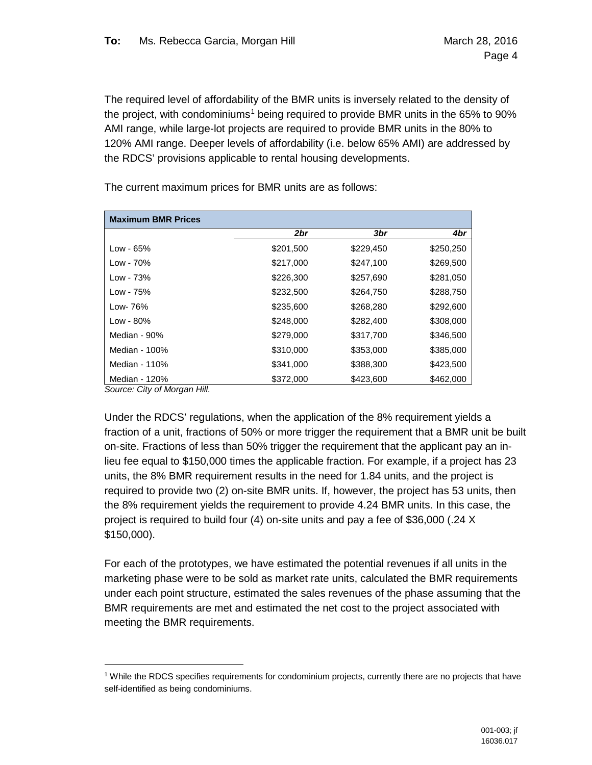The required level of affordability of the BMR units is inversely related to the density of the project, with condominiums<sup>[1](#page-3-0)</sup> being required to provide BMR units in the 65% to 90% AMI range, while large-lot projects are required to provide BMR units in the 80% to 120% AMI range. Deeper levels of affordability (i.e. below 65% AMI) are addressed by the RDCS' provisions applicable to rental housing developments.

| <b>Maximum BMR Prices</b> |           |                 |           |
|---------------------------|-----------|-----------------|-----------|
|                           | 2br       | 3 <sub>br</sub> | 4br       |
| Low - 65%                 | \$201,500 | \$229,450       | \$250,250 |
| Low - 70%                 | \$217,000 | \$247,100       | \$269,500 |
| Low - 73%                 | \$226,300 | \$257,690       | \$281,050 |
| Low - 75%                 | \$232,500 | \$264,750       | \$288,750 |
| Low- 76%                  | \$235,600 | \$268,280       | \$292,600 |
| Low - 80%                 | \$248,000 | \$282,400       | \$308,000 |
| Median - 90%              | \$279,000 | \$317,700       | \$346,500 |
| Median - 100%             | \$310,000 | \$353,000       | \$385,000 |
| Median - 110%             | \$341,000 | \$388,300       | \$423,500 |
| Median - 120%             | \$372,000 | \$423,600       | \$462,000 |

The current maximum prices for BMR units are as follows:

*Source: City of Morgan Hill.*

Under the RDCS' regulations, when the application of the 8% requirement yields a fraction of a unit, fractions of 50% or more trigger the requirement that a BMR unit be built on-site. Fractions of less than 50% trigger the requirement that the applicant pay an inlieu fee equal to \$150,000 times the applicable fraction. For example, if a project has 23 units, the 8% BMR requirement results in the need for 1.84 units, and the project is required to provide two (2) on-site BMR units. If, however, the project has 53 units, then the 8% requirement yields the requirement to provide 4.24 BMR units. In this case, the project is required to build four (4) on-site units and pay a fee of \$36,000 (.24 X \$150,000).

For each of the prototypes, we have estimated the potential revenues if all units in the marketing phase were to be sold as market rate units, calculated the BMR requirements under each point structure, estimated the sales revenues of the phase assuming that the BMR requirements are met and estimated the net cost to the project associated with meeting the BMR requirements.

<span id="page-3-0"></span> <sup>1</sup> While the RDCS specifies requirements for condominium projects, currently there are no projects that have self-identified as being condominiums.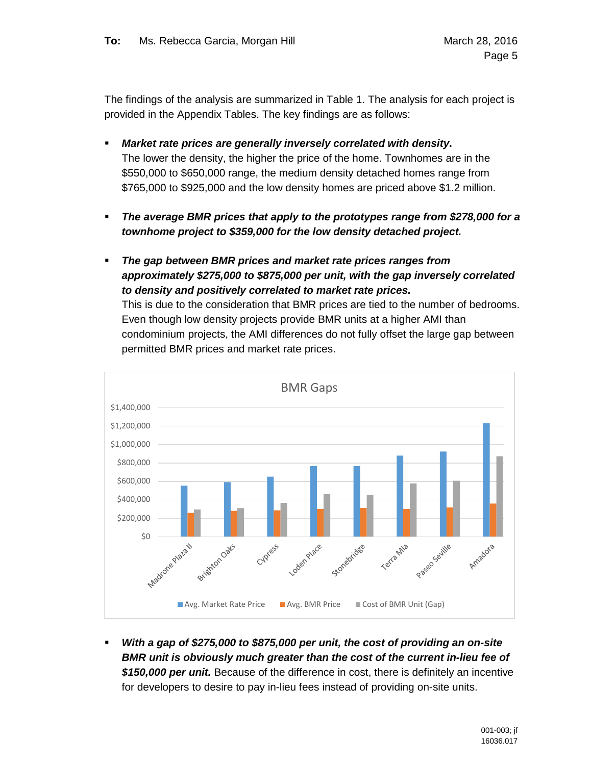The findings of the analysis are summarized in Table 1. The analysis for each project is provided in the Appendix Tables. The key findings are as follows:

- *Market rate prices are generally inversely correlated with density***.**  The lower the density, the higher the price of the home. Townhomes are in the \$550,000 to \$650,000 range, the medium density detached homes range from \$765,000 to \$925,000 and the low density homes are priced above \$1.2 million.
- *The average BMR prices that apply to the prototypes range from \$278,000 for a townhome project to \$359,000 for the low density detached project.*
- *The gap between BMR prices and market rate prices ranges from approximately \$275,000 to \$875,000 per unit, with the gap inversely correlated to density and positively correlated to market rate prices.*

This is due to the consideration that BMR prices are tied to the number of bedrooms. Even though low density projects provide BMR units at a higher AMI than condominium projects, the AMI differences do not fully offset the large gap between permitted BMR prices and market rate prices.



 *With a gap of \$275,000 to \$875,000 per unit, the cost of providing an on-site BMR unit is obviously much greater than the cost of the current in-lieu fee of \$150,000 per unit.* Because of the difference in cost, there is definitely an incentive for developers to desire to pay in-lieu fees instead of providing on-site units.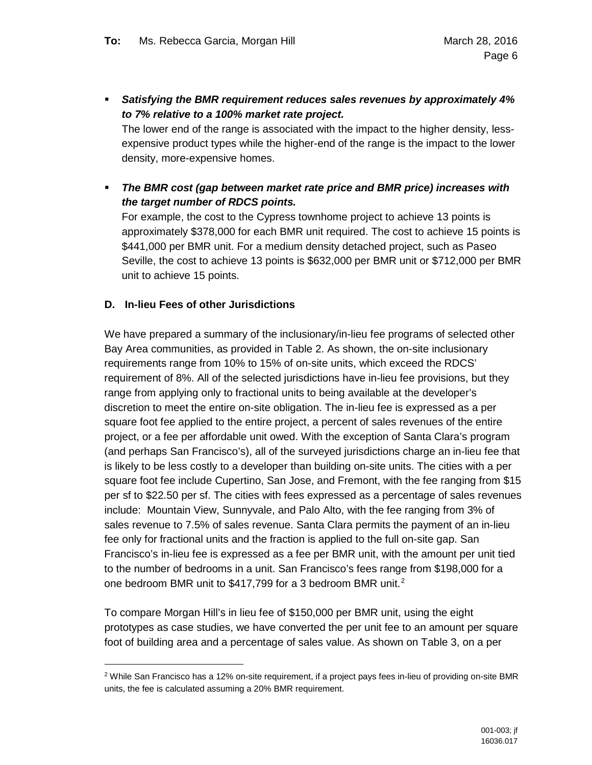*Satisfying the BMR requirement reduces sales revenues by approximately 4% to 7% relative to a 100% market rate project.*

The lower end of the range is associated with the impact to the higher density, lessexpensive product types while the higher-end of the range is the impact to the lower density, more-expensive homes.

 *The BMR cost (gap between market rate price and BMR price) increases with the target number of RDCS points.* 

For example, the cost to the Cypress townhome project to achieve 13 points is approximately \$378,000 for each BMR unit required. The cost to achieve 15 points is \$441,000 per BMR unit. For a medium density detached project, such as Paseo Seville, the cost to achieve 13 points is \$632,000 per BMR unit or \$712,000 per BMR unit to achieve 15 points.

### **D. In-lieu Fees of other Jurisdictions**

We have prepared a summary of the inclusionary/in-lieu fee programs of selected other Bay Area communities, as provided in Table 2. As shown, the on-site inclusionary requirements range from 10% to 15% of on-site units, which exceed the RDCS' requirement of 8%. All of the selected jurisdictions have in-lieu fee provisions, but they range from applying only to fractional units to being available at the developer's discretion to meet the entire on-site obligation. The in-lieu fee is expressed as a per square foot fee applied to the entire project, a percent of sales revenues of the entire project, or a fee per affordable unit owed. With the exception of Santa Clara's program (and perhaps San Francisco's), all of the surveyed jurisdictions charge an in-lieu fee that is likely to be less costly to a developer than building on-site units. The cities with a per square foot fee include Cupertino, San Jose, and Fremont, with the fee ranging from \$15 per sf to \$22.50 per sf. The cities with fees expressed as a percentage of sales revenues include: Mountain View, Sunnyvale, and Palo Alto, with the fee ranging from 3% of sales revenue to 7.5% of sales revenue. Santa Clara permits the payment of an in-lieu fee only for fractional units and the fraction is applied to the full on-site gap. San Francisco's in-lieu fee is expressed as a fee per BMR unit, with the amount per unit tied to the number of bedrooms in a unit. San Francisco's fees range from \$198,000 for a one bedroom BMR unit to \$417,799 for a 3 bedroom BMR unit.<sup>[2](#page-5-0)</sup>

To compare Morgan Hill's in lieu fee of \$150,000 per BMR unit, using the eight prototypes as case studies, we have converted the per unit fee to an amount per square foot of building area and a percentage of sales value. As shown on Table 3, on a per

<span id="page-5-0"></span><sup>&</sup>lt;sup>2</sup> While San Francisco has a 12% on-site requirement, if a project pays fees in-lieu of providing on-site BMR units, the fee is calculated assuming a 20% BMR requirement.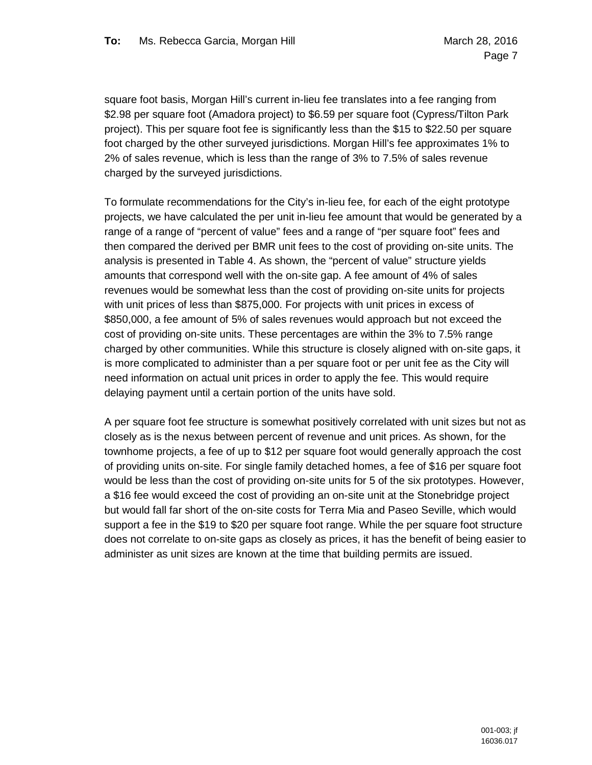square foot basis, Morgan Hill's current in-lieu fee translates into a fee ranging from \$2.98 per square foot (Amadora project) to \$6.59 per square foot (Cypress/Tilton Park project). This per square foot fee is significantly less than the \$15 to \$22.50 per square foot charged by the other surveyed jurisdictions. Morgan Hill's fee approximates 1% to 2% of sales revenue, which is less than the range of 3% to 7.5% of sales revenue charged by the surveyed jurisdictions.

To formulate recommendations for the City's in-lieu fee, for each of the eight prototype projects, we have calculated the per unit in-lieu fee amount that would be generated by a range of a range of "percent of value" fees and a range of "per square foot" fees and then compared the derived per BMR unit fees to the cost of providing on-site units. The analysis is presented in Table 4. As shown, the "percent of value" structure yields amounts that correspond well with the on-site gap. A fee amount of 4% of sales revenues would be somewhat less than the cost of providing on-site units for projects with unit prices of less than \$875,000. For projects with unit prices in excess of \$850,000, a fee amount of 5% of sales revenues would approach but not exceed the cost of providing on-site units. These percentages are within the 3% to 7.5% range charged by other communities. While this structure is closely aligned with on-site gaps, it is more complicated to administer than a per square foot or per unit fee as the City will need information on actual unit prices in order to apply the fee. This would require delaying payment until a certain portion of the units have sold.

A per square foot fee structure is somewhat positively correlated with unit sizes but not as closely as is the nexus between percent of revenue and unit prices. As shown, for the townhome projects, a fee of up to \$12 per square foot would generally approach the cost of providing units on-site. For single family detached homes, a fee of \$16 per square foot would be less than the cost of providing on-site units for 5 of the six prototypes. However, a \$16 fee would exceed the cost of providing an on-site unit at the Stonebridge project but would fall far short of the on-site costs for Terra Mia and Paseo Seville, which would support a fee in the \$19 to \$20 per square foot range. While the per square foot structure does not correlate to on-site gaps as closely as prices, it has the benefit of being easier to administer as unit sizes are known at the time that building permits are issued.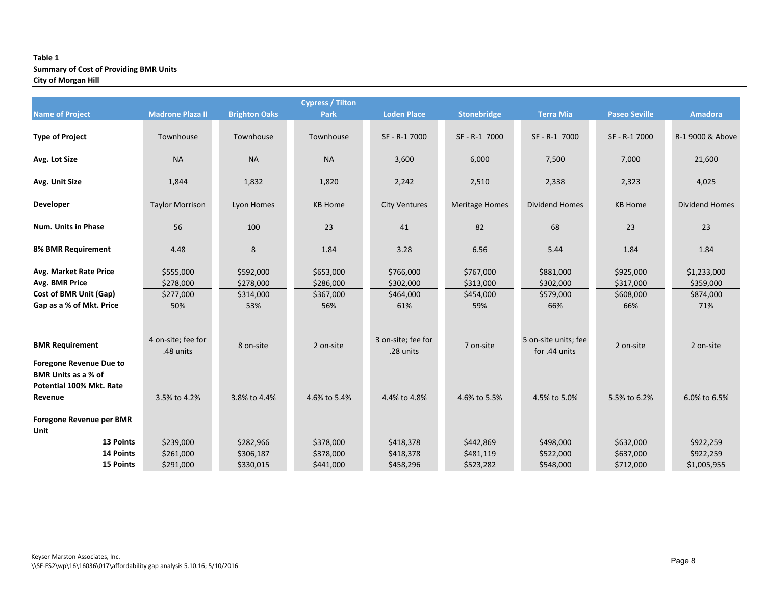#### **Table 1 Summary of Cost of Providing BMR Units City of Morgan Hill**

|                                                                                        |                                 |                        | <b>Cypress / Tilton</b> |                                 |                        |                                       |                        |                          |
|----------------------------------------------------------------------------------------|---------------------------------|------------------------|-------------------------|---------------------------------|------------------------|---------------------------------------|------------------------|--------------------------|
| <b>Name of Project</b>                                                                 | <b>Madrone Plaza II</b>         | <b>Brighton Oaks</b>   | Park                    | <b>Loden Place</b>              | Stonebridge            | <b>Terra Mia</b>                      | <b>Paseo Seville</b>   | <b>Amadora</b>           |
| <b>Type of Project</b>                                                                 | Townhouse                       | Townhouse              | Townhouse               | SF - R-1 7000                   | SF-R-1 7000            | SF-R-1 7000                           | SF - R-1 7000          | R-1 9000 & Above         |
| Avg. Lot Size                                                                          | <b>NA</b>                       | <b>NA</b>              | <b>NA</b>               | 3,600                           | 6,000                  | 7,500                                 | 7,000                  | 21,600                   |
| Avg. Unit Size                                                                         | 1,844                           | 1,832                  | 1,820                   | 2,242                           | 2,510                  | 2,338                                 | 2,323                  | 4,025                    |
| Developer                                                                              | <b>Taylor Morrison</b>          | Lyon Homes             | <b>KB Home</b>          | <b>City Ventures</b>            | <b>Meritage Homes</b>  | <b>Dividend Homes</b>                 | <b>KB Home</b>         | <b>Dividend Homes</b>    |
| <b>Num. Units in Phase</b>                                                             | 56                              | 100                    | 23                      | 41                              | 82                     | 68                                    | 23                     | 23                       |
| 8% BMR Requirement                                                                     | 4.48                            | 8                      | 1.84                    | 3.28                            | 6.56                   | 5.44                                  | 1.84                   | 1.84                     |
| Avg. Market Rate Price<br>Avg. BMR Price                                               | \$555,000<br>\$278,000          | \$592,000<br>\$278,000 | \$653,000<br>\$286,000  | \$766,000<br>\$302,000          | \$767,000<br>\$313,000 | \$881,000<br>\$302,000                | \$925,000<br>\$317,000 | \$1,233,000<br>\$359,000 |
| Cost of BMR Unit (Gap)                                                                 | \$277,000                       | \$314,000              | \$367,000               | \$464,000                       | \$454,000              | \$579,000                             | \$608,000              | \$874,000                |
| Gap as a % of Mkt. Price                                                               | 50%                             | 53%                    | 56%                     | 61%                             | 59%                    | 66%                                   | 66%                    | 71%                      |
| <b>BMR Requirement</b><br><b>Foregone Revenue Due to</b><br><b>BMR Units as a % of</b> | 4 on-site; fee for<br>.48 units | 8 on-site              | 2 on-site               | 3 on-site; fee for<br>.28 units | 7 on-site              | 5 on-site units; fee<br>for .44 units | 2 on-site              | 2 on-site                |
| Potential 100% Mkt. Rate<br>Revenue                                                    | 3.5% to 4.2%                    | 3.8% to 4.4%           | 4.6% to 5.4%            | 4.4% to 4.8%                    | 4.6% to 5.5%           | 4.5% to 5.0%                          | 5.5% to 6.2%           | 6.0% to 6.5%             |
| Foregone Revenue per BMR<br>Unit                                                       |                                 |                        |                         |                                 |                        |                                       |                        |                          |
| 13 Points                                                                              | \$239,000                       | \$282,966              | \$378,000               | \$418,378                       | \$442,869              | \$498,000                             | \$632,000              | \$922,259                |
| 14 Points                                                                              | \$261,000                       | \$306,187              | \$378,000               | \$418,378                       | \$481,119              | \$522,000                             | \$637,000              | \$922,259                |
| <b>15 Points</b>                                                                       | \$291,000                       | \$330,015              | \$441,000               | \$458,296                       | \$523,282              | \$548,000                             | \$712,000              | \$1,005,955              |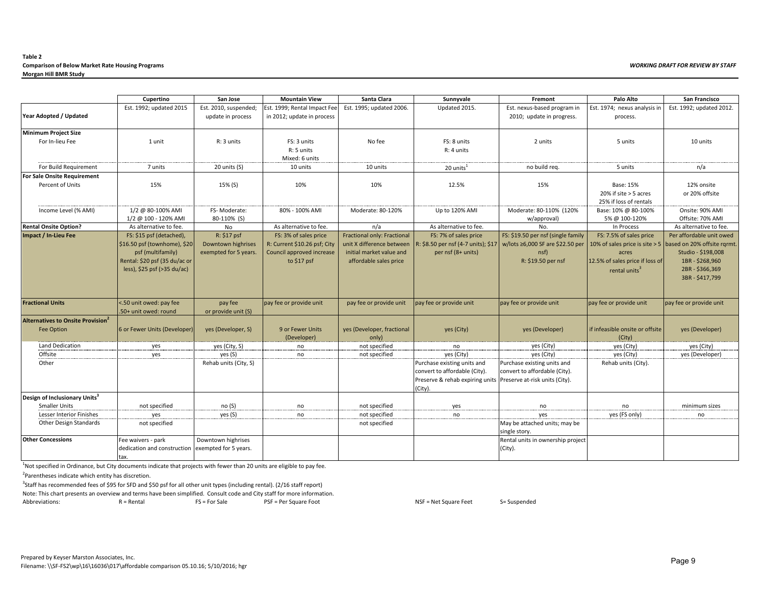#### **Table 2 Comparison of Below Market Rate Housing Programs** *WORKING DRAFT FOR REVIEW BY STAFF* **Morgan Hill BMR Study**

|                                                              | Cupertino                                                                                                                                         | San Jose                                                   | <b>Mountain View</b>                                                                               | Santa Clara                                                                                                    | Sunnyvale                                                                                                                                 | Fremont                                                                                              | Palo Alto                                                                                        | San Francisco                                                                                                                                                     |
|--------------------------------------------------------------|---------------------------------------------------------------------------------------------------------------------------------------------------|------------------------------------------------------------|----------------------------------------------------------------------------------------------------|----------------------------------------------------------------------------------------------------------------|-------------------------------------------------------------------------------------------------------------------------------------------|------------------------------------------------------------------------------------------------------|--------------------------------------------------------------------------------------------------|-------------------------------------------------------------------------------------------------------------------------------------------------------------------|
| Year Adopted / Updated                                       | Est. 1992; updated 2015                                                                                                                           | Est. 2010, suspended;<br>update in process                 | Est. 1999; Rental Impact Fee<br>in 2012; update in process                                         | Est. 1995; updated 2006.                                                                                       | Updated 2015.                                                                                                                             | Est. nexus-based program in<br>2010; update in progress.                                             | Est. 1974; nexus analysis in<br>process.                                                         | Est. 1992; updated 2012.                                                                                                                                          |
| <b>Minimum Project Size</b>                                  |                                                                                                                                                   |                                                            |                                                                                                    |                                                                                                                |                                                                                                                                           |                                                                                                      |                                                                                                  |                                                                                                                                                                   |
| For In-lieu Fee                                              | 1 unit                                                                                                                                            | R: 3 units                                                 | FS: 3 units<br>R: 5 units<br>Mixed: 6 units                                                        | No fee                                                                                                         | FS: 8 units<br>R: 4 units                                                                                                                 | 2 units                                                                                              | 5 units                                                                                          | 10 units                                                                                                                                                          |
| For Build Requirement                                        | 7 units                                                                                                                                           | 20 units (S)                                               | 10 units                                                                                           | 10 units                                                                                                       | 20 units <sup>1</sup>                                                                                                                     | no build req.                                                                                        | 5 units                                                                                          | n/a                                                                                                                                                               |
| For Sale Onsite Requirement                                  |                                                                                                                                                   |                                                            |                                                                                                    |                                                                                                                |                                                                                                                                           |                                                                                                      |                                                                                                  |                                                                                                                                                                   |
| Percent of Units                                             | 15%                                                                                                                                               | 15% (S)                                                    | 10%                                                                                                | 10%                                                                                                            | 12.5%                                                                                                                                     | 15%                                                                                                  | <b>Base: 15%</b><br>20% if site > 5 acres<br>25% if loss of rentals                              | 12% onsite<br>or 20% offsite                                                                                                                                      |
| Income Level (% AMI)                                         | 1/2 @ 80-100% AMI                                                                                                                                 | FS-Moderate:                                               | 80% - 100% AMI                                                                                     | Moderate: 80-120%                                                                                              | Up to 120% AMI                                                                                                                            | Moderate: 80-110% (120%                                                                              | Base: 10% @ 80-100%                                                                              | Onsite: 90% AMI                                                                                                                                                   |
|                                                              | 1/2 @ 100 - 120% AMI                                                                                                                              | 80-110% (S)                                                |                                                                                                    |                                                                                                                |                                                                                                                                           | w/approval)                                                                                          | 5% @ 100-120%                                                                                    | Offsite: 70% AMI                                                                                                                                                  |
| <b>Rental Onsite Option?</b>                                 | As alternative to fee.                                                                                                                            | No                                                         | As alternative to fee.                                                                             | n/a                                                                                                            | As alternative to fee.                                                                                                                    | No.                                                                                                  | In Process                                                                                       | As alternative to fee.                                                                                                                                            |
| Impact / In-Lieu Fee                                         | FS: \$15 psf (detached),<br>\$16.50 psf (townhome), \$20<br>psf (multifamily)<br>Rental: \$20 psf (35 du/ac or<br>less), $$25$ psf ( $>35$ du/ac) | R: \$17 psf<br>Downtown highrises<br>exempted for 5 years. | FS: 3% of sales price<br>R: Current \$10.26 psf; City<br>Council approved increase<br>to $$17$ psf | Fractional only: Fractional<br>unit X difference between<br>initial market value and<br>affordable sales price | FS: 7% of sales price<br>R: \$8.50 per nsf (4-7 units); \$17<br>per nsf (8+ units)                                                        | FS: \$19.50 per nsf (single family<br>w/lots ≥6,000 SF are \$22.50 per<br>nsf)<br>R: \$19.50 per nsf | FS: 7.5% of sales price<br>acres<br>12.5% of sales price if loss of<br>rental units <sup>3</sup> | Per affordable unit owed<br>10% of sales price is site > 5 based on 20% offsite rgrmt.<br>Studio - \$198,008<br>1BR-\$268,960<br>2BR-\$366,369<br>3BR - \$417,799 |
| <b>Fractional Units</b>                                      | <.50 unit owed: pay fee<br>50+ unit owed: round                                                                                                   | pay fee<br>or provide unit (S)                             | pay fee or provide unit                                                                            | pay fee or provide unit                                                                                        | pay fee or provide unit                                                                                                                   | pay fee or provide unit                                                                              | pay fee or provide unit                                                                          | pay fee or provide unit                                                                                                                                           |
| <b>Alternatives to Onsite Provision</b><br><b>Fee Option</b> | 6 or Fewer Units (Developer                                                                                                                       | yes (Developer, S)                                         | 9 or Fewer Units<br>(Developer)                                                                    | yes (Developer, fractional<br>only)                                                                            | yes (City)                                                                                                                                | yes (Developer)                                                                                      | if infeasible onsite or offsite<br>(City)                                                        | yes (Developer)                                                                                                                                                   |
| Land Dedication                                              | yes                                                                                                                                               | yes (City, S)                                              | no                                                                                                 | not specified                                                                                                  | no                                                                                                                                        | yes (City)                                                                                           | yes (City)                                                                                       | yes (City)                                                                                                                                                        |
| Offsite                                                      | yes                                                                                                                                               | ves(S)                                                     | no                                                                                                 | not specified                                                                                                  | yes (City)                                                                                                                                | yes (City)                                                                                           | yes (City)                                                                                       | yes (Developer)                                                                                                                                                   |
| Other                                                        |                                                                                                                                                   | Rehab units (City, S)                                      |                                                                                                    |                                                                                                                | Purchase existing units and<br>convert to affordable (City).<br>Preserve & rehab expiring units Preserve at-risk units (City).<br>(City). | Purchase existing units and<br>convert to affordable (City).                                         | Rehab units (City).                                                                              |                                                                                                                                                                   |
| Design of Inclusionary Units <sup>3</sup>                    |                                                                                                                                                   |                                                            |                                                                                                    |                                                                                                                |                                                                                                                                           |                                                                                                      |                                                                                                  |                                                                                                                                                                   |
| <b>Smaller Units</b>                                         | not specified                                                                                                                                     | no(S)                                                      | no                                                                                                 | not specified                                                                                                  | yes                                                                                                                                       | no                                                                                                   | no                                                                                               | minimum sizes                                                                                                                                                     |
| <b>Lesser Interior Finishes</b>                              | yes                                                                                                                                               | yes (S)                                                    | no                                                                                                 | not specified                                                                                                  | no                                                                                                                                        | ves                                                                                                  | yes (FS only)                                                                                    | no                                                                                                                                                                |
| <b>Other Design Standards</b>                                | not specified                                                                                                                                     |                                                            |                                                                                                    | not specified                                                                                                  |                                                                                                                                           | May be attached units; may be<br>single story.                                                       |                                                                                                  |                                                                                                                                                                   |
| <b>Other Concessions</b>                                     | Fee waivers - park<br>dedication and construction<br>tax.                                                                                         | Downtown highrises<br>exempted for 5 years.                |                                                                                                    |                                                                                                                |                                                                                                                                           | Rental units in ownership project<br>(City).                                                         |                                                                                                  |                                                                                                                                                                   |

<sup>1</sup>Not specified in Ordinance, but City documents indicate that projects with fewer than 20 units are eligible to pay fee.

<sup>2</sup>Parentheses indicate which entity has discretion.

3 Staff has recommended fees of \$95 for SFD and \$50 psf for all other unit types (including rental). (2/16 staff report) Note: This chart presents an overview and terms have been simplified. Consult code and City staff for more information.<br>Abbreviations: PSF = Per Square Foot

Abbreviations: R = Rental FS = For Sale PSF = Per Square Foot NSF = Net Square Feet S= Suspended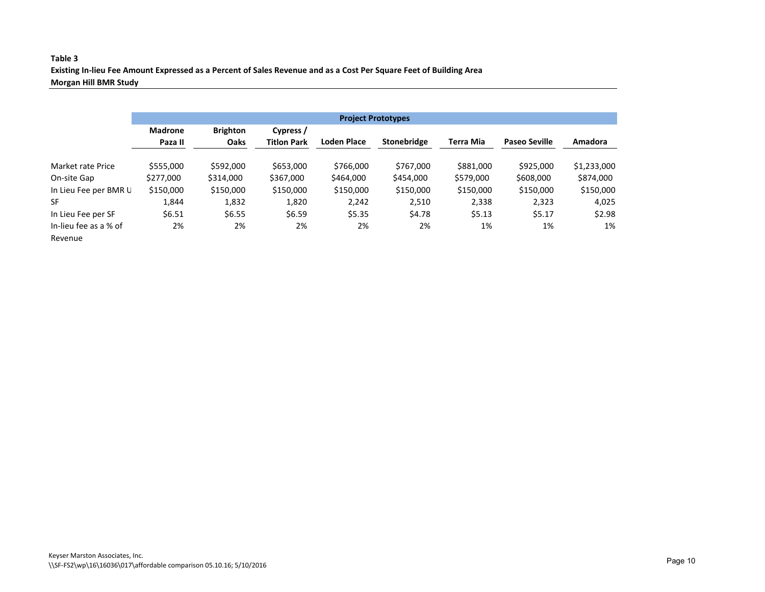#### **Table 3 Existing In-lieu Fee Amount Expressed as a Percent of Sales Revenue and as a Cost Per Square Feet of Building Area Morgan Hill BMR Study**

|                       | <b>Project Prototypes</b>                      |           |                    |                    |                    |           |                      |             |  |  |  |
|-----------------------|------------------------------------------------|-----------|--------------------|--------------------|--------------------|-----------|----------------------|-------------|--|--|--|
|                       | <b>Madrone</b><br><b>Brighton</b><br>Cypress / |           |                    |                    |                    |           |                      |             |  |  |  |
|                       | Paza II                                        | Oaks      | <b>Titlon Park</b> | <b>Loden Place</b> | <b>Stonebridge</b> | Terra Mia | <b>Paseo Seville</b> | Amadora     |  |  |  |
| Market rate Price     | \$555,000                                      | \$592,000 | \$653,000          | \$766,000          | \$767.000          | \$881,000 | \$925,000            | \$1,233,000 |  |  |  |
| On-site Gap           | \$277,000                                      | \$314,000 | \$367,000          | \$464,000          | \$454,000          | \$579,000 | \$608,000            | \$874,000   |  |  |  |
| In Lieu Fee per BMR U | \$150,000                                      | \$150,000 | \$150,000          | \$150,000          | \$150,000          | \$150,000 | \$150,000            | \$150,000   |  |  |  |
| <b>SF</b>             | 1.844                                          | 1,832     | 1,820              | 2.242              | 2,510              | 2,338     | 2,323                | 4,025       |  |  |  |
| In Lieu Fee per SF    | \$6.51                                         | \$6.55    | \$6.59             | \$5.35             | \$4.78             | \$5.13    | \$5.17               | \$2.98      |  |  |  |
| In-lieu fee as a % of | 2%                                             | 2%        | 2%                 | 2%                 | 2%                 | 1%        | 1%                   | 1%          |  |  |  |
| Revenue               |                                                |           |                    |                    |                    |           |                      |             |  |  |  |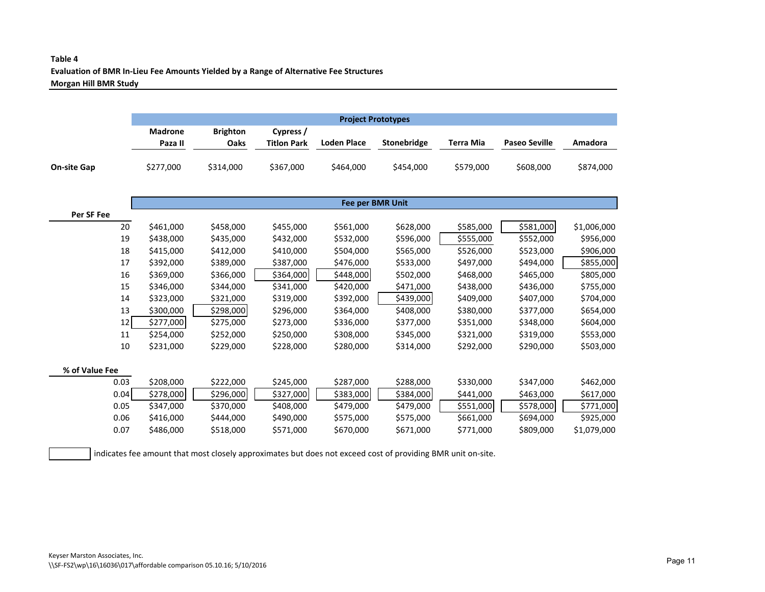## **Table 4 Evaluation of BMR In-Lieu Fee Amounts Yielded by a Range of Alternative Fee Structures Morgan Hill BMR Study**

|                    |                           | <b>Project Prototypes</b> |                                 |             |             |           |                      |           |  |  |  |
|--------------------|---------------------------|---------------------------|---------------------------------|-------------|-------------|-----------|----------------------|-----------|--|--|--|
|                    | <b>Madrone</b><br>Paza II | <b>Brighton</b><br>Oaks   | Cypress /<br><b>Titlon Park</b> | Loden Place | Stonebridge | Terra Mia | <b>Paseo Seville</b> | Amadora   |  |  |  |
| <b>On-site Gap</b> | \$277,000                 | \$314,000                 | \$367,000                       | \$464,000   | \$454,000   | \$579,000 | \$608,000            | \$874,000 |  |  |  |

|                |      |           |           |           | <b>Fee per BMR Unit</b> |           |           |           |             |
|----------------|------|-----------|-----------|-----------|-------------------------|-----------|-----------|-----------|-------------|
| Per SF Fee     |      |           |           |           |                         |           |           |           |             |
|                | 20   | \$461,000 | \$458,000 | \$455,000 | \$561,000               | \$628,000 | \$585,000 | \$581,000 | \$1,006,000 |
|                | 19   | \$438,000 | \$435,000 | \$432,000 | \$532,000               | \$596,000 | \$555,000 | \$552,000 | \$956,000   |
|                | 18   | \$415,000 | \$412,000 | \$410,000 | \$504,000               | \$565,000 | \$526,000 | \$523,000 | \$906,000   |
|                | 17   | \$392,000 | \$389,000 | \$387,000 | \$476,000               | \$533,000 | \$497,000 | \$494,000 | \$855,000   |
|                | 16   | \$369,000 | \$366,000 | \$364,000 | \$448,000               | \$502,000 | \$468,000 | \$465,000 | \$805,000   |
|                | 15   | \$346,000 | \$344,000 | \$341,000 | \$420,000               | \$471,000 | \$438,000 | \$436,000 | \$755,000   |
|                | 14   | \$323,000 | \$321,000 | \$319,000 | \$392,000               | \$439,000 | \$409,000 | \$407,000 | \$704,000   |
|                | 13   | \$300,000 | \$298,000 | \$296,000 | \$364,000               | \$408,000 | \$380,000 | \$377,000 | \$654,000   |
|                | 12   | \$277,000 | \$275,000 | \$273,000 | \$336,000               | \$377,000 | \$351,000 | \$348,000 | \$604,000   |
|                | 11   | \$254,000 | \$252,000 | \$250,000 | \$308,000               | \$345,000 | \$321,000 | \$319,000 | \$553,000   |
|                | 10   | \$231,000 | \$229,000 | \$228,000 | \$280,000               | \$314,000 | \$292,000 | \$290,000 | \$503,000   |
| % of Value Fee |      |           |           |           |                         |           |           |           |             |
|                | 0.03 | \$208,000 | \$222,000 | \$245,000 | \$287,000               | \$288,000 | \$330,000 | \$347,000 | \$462,000   |
|                | 0.04 | \$278,000 | \$296,000 | \$327,000 | \$383,000               | \$384,000 | \$441,000 | \$463,000 | \$617,000   |
|                | 0.05 | \$347,000 | \$370,000 | \$408,000 | \$479,000               | \$479,000 | \$551,000 | \$578,000 | \$771,000   |
|                | 0.06 | \$416,000 | \$444,000 | \$490,000 | \$575,000               | \$575,000 | \$661,000 | \$694,000 | \$925,000   |

0.07 \$486,000 \$518,000 \$571,000 \$670,000 \$671,000 \$771,000 \$809,000 \$1,079,000

indicates fee amount that most closely approximates but does not exceed cost of providing BMR unit on-site.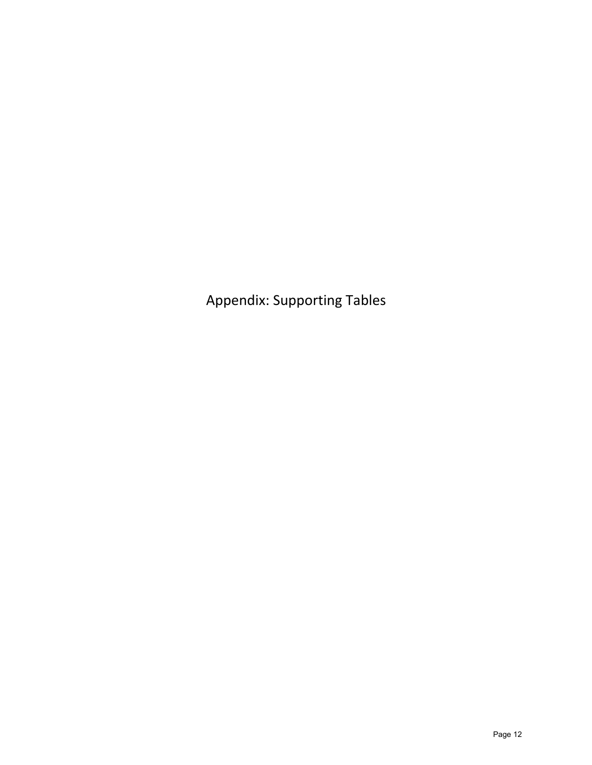Appendix: Supporting Tables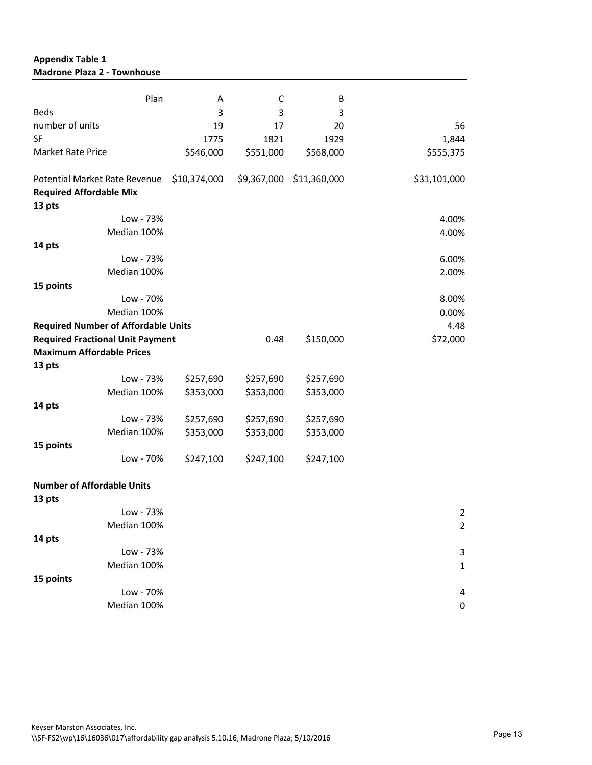## **Appendix Table 1 Madrone Plaza 2 - Townhouse**

| Plan                                                                      | Α            | C           | В            |                |
|---------------------------------------------------------------------------|--------------|-------------|--------------|----------------|
| <b>Beds</b>                                                               | 3            | 3           | 3            |                |
| number of units                                                           | 19           | 17          | 20           | 56             |
| SF                                                                        | 1775         | 1821        | 1929         | 1,844          |
| <b>Market Rate Price</b>                                                  | \$546,000    | \$551,000   | \$568,000    | \$555,375      |
| Potential Market Rate Revenue<br><b>Required Affordable Mix</b><br>13 pts | \$10,374,000 | \$9,367,000 | \$11,360,000 | \$31,101,000   |
| Low - 73%                                                                 |              |             |              | 4.00%          |
| Median 100%                                                               |              |             |              | 4.00%          |
| 14 pts                                                                    |              |             |              |                |
| Low - 73%                                                                 |              |             |              | 6.00%          |
| Median 100%                                                               |              |             |              | 2.00%          |
| 15 points                                                                 |              |             |              |                |
| Low - 70%                                                                 |              |             |              | 8.00%          |
| Median 100%                                                               |              |             |              | 0.00%          |
| <b>Required Number of Affordable Units</b>                                |              |             |              | 4.48           |
| <b>Required Fractional Unit Payment</b>                                   |              | 0.48        | \$150,000    | \$72,000       |
| <b>Maximum Affordable Prices</b>                                          |              |             |              |                |
| 13 pts                                                                    |              |             |              |                |
| Low - 73%                                                                 | \$257,690    | \$257,690   | \$257,690    |                |
| Median 100%                                                               | \$353,000    | \$353,000   | \$353,000    |                |
| 14 pts                                                                    |              |             |              |                |
| Low - 73%                                                                 | \$257,690    | \$257,690   | \$257,690    |                |
| Median 100%                                                               | \$353,000    | \$353,000   | \$353,000    |                |
| 15 points                                                                 |              |             |              |                |
| Low - 70%                                                                 | \$247,100    | \$247,100   | \$247,100    |                |
| <b>Number of Affordable Units</b>                                         |              |             |              |                |
| 13 pts                                                                    |              |             |              |                |
| Low - 73%                                                                 |              |             |              | $\overline{2}$ |
| Median 100%                                                               |              |             |              | $\overline{2}$ |
| 14 pts                                                                    |              |             |              |                |
| Low - 73%                                                                 |              |             |              | 3              |
| Median 100%                                                               |              |             |              | $\mathbf 1$    |
| 15 points                                                                 |              |             |              |                |
| Low - 70%                                                                 |              |             |              | 4              |
| Median 100%                                                               |              |             |              | 0              |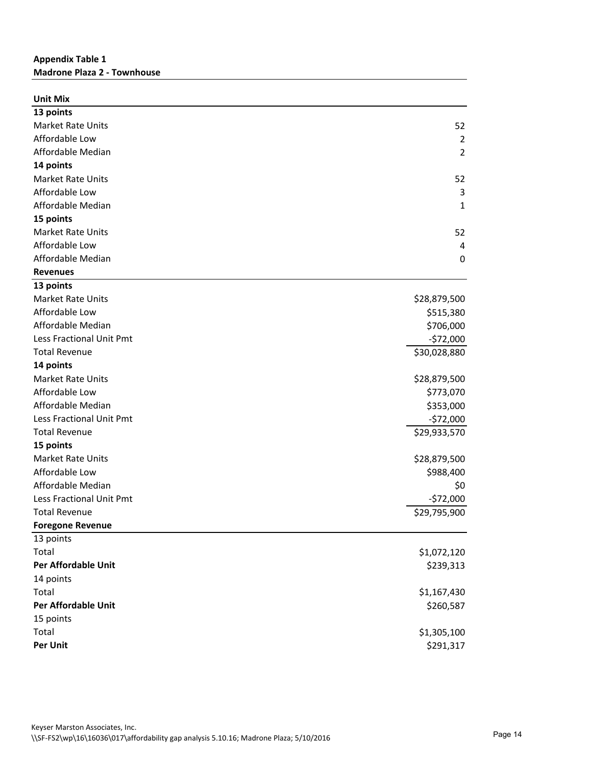## **Appendix Table 1 Madrone Plaza 2 - Townhouse**

| <b>Unit Mix</b>            |                |
|----------------------------|----------------|
| 13 points                  |                |
| <b>Market Rate Units</b>   | 52             |
| Affordable Low             | $\overline{2}$ |
| Affordable Median          | $\overline{2}$ |
| 14 points                  |                |
| <b>Market Rate Units</b>   | 52             |
| Affordable Low             | 3              |
| Affordable Median          | 1              |
| 15 points                  |                |
| <b>Market Rate Units</b>   | 52             |
| Affordable Low             | $\overline{4}$ |
| Affordable Median          | $\mathbf 0$    |
| <b>Revenues</b>            |                |
| 13 points                  |                |
| <b>Market Rate Units</b>   | \$28,879,500   |
| Affordable Low             | \$515,380      |
| Affordable Median          | \$706,000      |
| Less Fractional Unit Pmt   | $-572,000$     |
| <b>Total Revenue</b>       | \$30,028,880   |
| 14 points                  |                |
| <b>Market Rate Units</b>   | \$28,879,500   |
| Affordable Low             | \$773,070      |
| Affordable Median          | \$353,000      |
| Less Fractional Unit Pmt   | $-572,000$     |
| <b>Total Revenue</b>       | \$29,933,570   |
| 15 points                  |                |
| <b>Market Rate Units</b>   | \$28,879,500   |
| Affordable Low             | \$988,400      |
| Affordable Median          | \$0            |
| Less Fractional Unit Pmt   | $-$72,000$     |
| <b>Total Revenue</b>       | \$29,795,900   |
| <b>Foregone Revenue</b>    |                |
| 13 points                  |                |
| Total                      | \$1,072,120    |
| <b>Per Affordable Unit</b> | \$239,313      |
| 14 points                  |                |
| Total                      | \$1,167,430    |
| <b>Per Affordable Unit</b> | \$260,587      |
| 15 points                  |                |
| Total                      | \$1,305,100    |
| Per Unit                   | \$291,317      |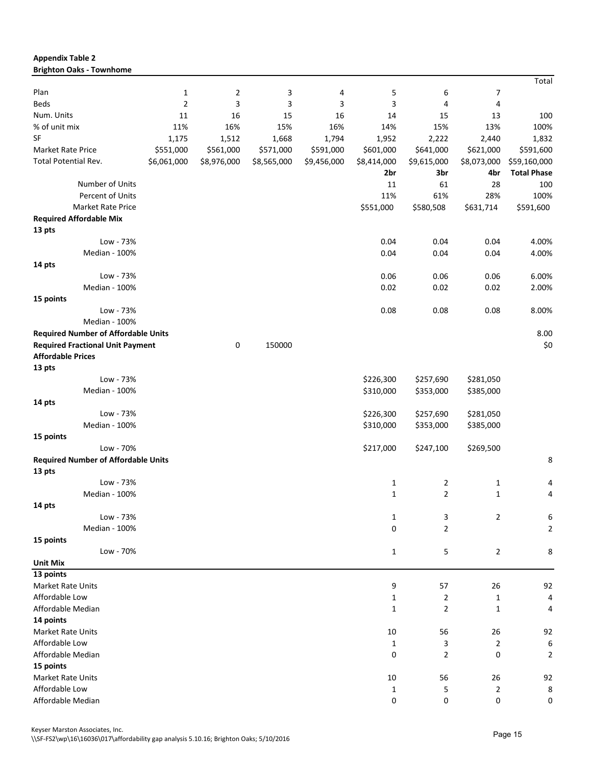| <b>Brighton Oaks - Townhome</b>            |              |                |             |             |              |                |                |                    |
|--------------------------------------------|--------------|----------------|-------------|-------------|--------------|----------------|----------------|--------------------|
|                                            |              |                |             |             |              |                |                | Total              |
| Plan                                       | $\mathbf{1}$ | $\overline{2}$ | 3           | 4           | 5            | 6              | 7              |                    |
| Beds                                       | 2            | 3              | 3           | 3           | 3            | 4              | 4              |                    |
| Num. Units                                 | 11           | 16             | 15          | 16          | 14           | 15             | 13             | 100                |
| % of unit mix                              | 11%          | 16%            | 15%         | 16%         | 14%          | 15%            | 13%            | 100%               |
| SF                                         | 1,175        | 1,512          | 1,668       | 1,794       | 1,952        | 2,222          | 2,440          | 1,832              |
| Market Rate Price                          | \$551,000    | \$561,000      | \$571,000   | \$591,000   | \$601,000    | \$641,000      | \$621,000      | \$591,600          |
| <b>Total Potential Rev.</b>                | \$6,061,000  | \$8,976,000    | \$8,565,000 | \$9,456,000 | \$8,414,000  | \$9,615,000    | \$8,073,000    | \$59,160,000       |
|                                            |              |                |             |             | 2br          | 3br            | 4br            | <b>Total Phase</b> |
| Number of Units                            |              |                |             |             | 11           | 61             | 28             | 100                |
| Percent of Units                           |              |                |             |             | 11%          | 61%            | 28%            | 100%               |
| Market Rate Price                          |              |                |             |             | \$551,000    | \$580,508      | \$631,714      | \$591,600          |
| <b>Required Affordable Mix</b>             |              |                |             |             |              |                |                |                    |
| 13 pts                                     |              |                |             |             |              |                |                |                    |
| Low - 73%                                  |              |                |             |             | 0.04         | 0.04           | 0.04           | 4.00%              |
| Median - 100%                              |              |                |             |             | 0.04         | 0.04           | 0.04           | 4.00%              |
| 14 pts                                     |              |                |             |             |              |                |                |                    |
| Low - 73%                                  |              |                |             |             | 0.06         | 0.06           | 0.06           | 6.00%              |
| Median - 100%                              |              |                |             |             | 0.02         | 0.02           | 0.02           | 2.00%              |
| 15 points                                  |              |                |             |             |              |                |                |                    |
| Low - 73%                                  |              |                |             |             | 0.08         | 0.08           | 0.08           | 8.00%              |
| Median - 100%                              |              |                |             |             |              |                |                |                    |
| <b>Required Number of Affordable Units</b> |              |                |             |             |              |                |                | 8.00               |
| <b>Required Fractional Unit Payment</b>    |              | 0              | 150000      |             |              |                |                | \$0                |
| <b>Affordable Prices</b>                   |              |                |             |             |              |                |                |                    |
| 13 pts                                     |              |                |             |             |              |                |                |                    |
| Low - 73%                                  |              |                |             |             | \$226,300    | \$257,690      | \$281,050      |                    |
| Median - 100%                              |              |                |             |             | \$310,000    | \$353,000      | \$385,000      |                    |
| 14 pts                                     |              |                |             |             |              |                |                |                    |
| Low - 73%                                  |              |                |             |             | \$226,300    | \$257,690      | \$281,050      |                    |
| Median - 100%                              |              |                |             |             | \$310,000    | \$353,000      | \$385,000      |                    |
| 15 points                                  |              |                |             |             |              |                |                |                    |
| Low - 70%                                  |              |                |             |             | \$217,000    | \$247,100      | \$269,500      |                    |
| <b>Required Number of Affordable Units</b> |              |                |             |             |              |                |                | 8                  |
| 13 pts                                     |              |                |             |             |              |                |                |                    |
| Low - 73%                                  |              |                |             |             | $\mathbf{1}$ | $\overline{2}$ | 1              | 4                  |
| Median - 100%                              |              |                |             |             | 1            | 2              | 1              | 4                  |
| 14 pts                                     |              |                |             |             |              |                |                |                    |
| Low - 73%                                  |              |                |             |             | $\mathbf{1}$ | 3              | $\overline{2}$ | 6                  |
| Median - 100%                              |              |                |             |             | 0            | $\overline{2}$ |                | $\overline{2}$     |
| 15 points                                  |              |                |             |             |              |                |                |                    |
| Low - 70%                                  |              |                |             |             | $\mathbf{1}$ | 5              | $\overline{2}$ | 8                  |
| <b>Unit Mix</b>                            |              |                |             |             |              |                |                |                    |
| 13 points                                  |              |                |             |             |              |                |                |                    |
| Market Rate Units                          |              |                |             |             | 9            | 57             | 26             | 92                 |
| Affordable Low                             |              |                |             |             | $\mathbf{1}$ | $\overline{2}$ | $\mathbf{1}$   | 4                  |
| Affordable Median                          |              |                |             |             | $\mathbf{1}$ | $\overline{2}$ | $\mathbf{1}$   | 4                  |
| 14 points                                  |              |                |             |             |              |                |                |                    |
| Market Rate Units                          |              |                |             |             | 10           | 56             | 26             | 92                 |
| Affordable Low                             |              |                |             |             | 1            | 3              | 2              | 6                  |
| Affordable Median                          |              |                |             |             | 0            | $\overline{2}$ | 0              | $\overline{2}$     |
| 15 points                                  |              |                |             |             |              |                |                |                    |
| Market Rate Units                          |              |                |             |             | 10           | 56             | 26             | 92                 |
| Affordable Low                             |              |                |             |             | $\mathbf{1}$ | 5              | $\overline{2}$ | 8                  |
| Affordable Median                          |              |                |             |             | 0            | 0              | 0              | 0                  |
|                                            |              |                |             |             |              |                |                |                    |

**Appendix Table 2**

Keyser Marston Associates, Inc.

\\SF-FS2\wp\16\16036\017\affordability gap analysis 5.10.16; Brighton Oaks; 5/10/2016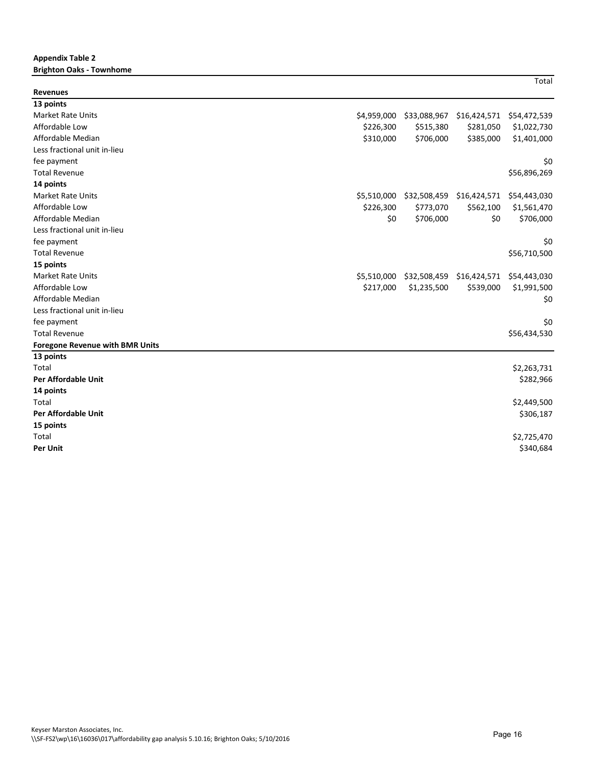#### **Appendix Table 2 Brighton Oaks - Townhome**

| <b>Revenues</b>                        |             |              |              |              |
|----------------------------------------|-------------|--------------|--------------|--------------|
| 13 points                              |             |              |              |              |
| <b>Market Rate Units</b>               | \$4,959,000 | \$33,088,967 | \$16,424,571 | \$54,472,539 |
| Affordable Low                         | \$226,300   | \$515,380    | \$281,050    | \$1,022,730  |
| Affordable Median                      | \$310,000   | \$706,000    | \$385,000    | \$1,401,000  |
| Less fractional unit in-lieu           |             |              |              |              |
| fee payment                            |             |              |              | \$0          |
| <b>Total Revenue</b>                   |             |              |              | \$56,896,269 |
| 14 points                              |             |              |              |              |
| <b>Market Rate Units</b>               | \$5,510,000 | \$32,508,459 | \$16,424,571 | \$54,443,030 |
| Affordable Low                         | \$226,300   | \$773,070    | \$562,100    | \$1,561,470  |
| Affordable Median                      | \$0         | \$706,000    | \$0          | \$706,000    |
| Less fractional unit in-lieu           |             |              |              |              |
| fee payment                            |             |              |              | \$0          |
| <b>Total Revenue</b>                   |             |              |              | \$56,710,500 |
| 15 points                              |             |              |              |              |
| <b>Market Rate Units</b>               | \$5,510,000 | \$32,508,459 | \$16,424,571 | \$54,443,030 |
| Affordable Low                         | \$217,000   | \$1,235,500  | \$539,000    | \$1,991,500  |
| Affordable Median                      |             |              |              | \$0          |
| Less fractional unit in-lieu           |             |              |              |              |
| fee payment                            |             |              |              | \$0          |
| <b>Total Revenue</b>                   |             |              |              | \$56,434,530 |
| <b>Foregone Revenue with BMR Units</b> |             |              |              |              |
| 13 points                              |             |              |              |              |
| Total                                  |             |              |              | \$2,263,731  |
| <b>Per Affordable Unit</b>             |             |              |              | \$282,966    |
| 14 points                              |             |              |              |              |
| Total                                  |             |              |              | \$2,449,500  |
| <b>Per Affordable Unit</b>             |             |              |              | \$306,187    |
| 15 points                              |             |              |              |              |
| Total                                  |             |              |              | \$2,725,470  |
| <b>Per Unit</b>                        |             |              |              | \$340,684    |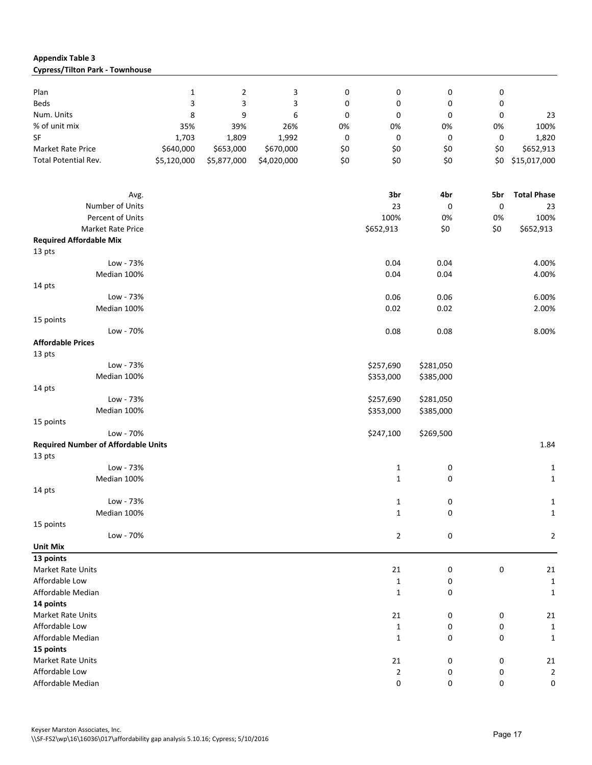#### **Appendix Table 3 Cypress/Tilton Park - Townhouse**

| Plan                                       | $\mathbf{1}$ | 2           | 3           | 0   | 0                | 0         | 0   |                    |
|--------------------------------------------|--------------|-------------|-------------|-----|------------------|-----------|-----|--------------------|
| Beds                                       | 3            | 3           | 3           | 0   | 0                | 0         | 0   |                    |
| Num. Units                                 | 8            | 9           | 6           | 0   | 0                | 0         | 0   | 23                 |
| % of unit mix                              | 35%          | 39%         | 26%         | 0%  | 0%               | 0%        | 0%  | 100%               |
| <b>SF</b>                                  | 1,703        | 1,809       | 1,992       | 0   | $\boldsymbol{0}$ | 0         | 0   | 1,820              |
| <b>Market Rate Price</b>                   | \$640,000    | \$653,000   | \$670,000   | \$0 | \$0              | \$0       | \$0 | \$652,913          |
| Total Potential Rev.                       | \$5,120,000  | \$5,877,000 | \$4,020,000 | \$0 | \$0              | \$0       | \$0 | \$15,017,000       |
|                                            |              |             |             |     |                  |           |     |                    |
| Avg.                                       |              |             |             |     | 3br              | 4br       | 5br | <b>Total Phase</b> |
| Number of Units                            |              |             |             |     | 23               | 0         | 0   | 23                 |
| Percent of Units                           |              |             |             |     | 100%             | 0%        | 0%  | 100%               |
| Market Rate Price                          |              |             |             |     | \$652,913        | \$0       | \$0 | \$652,913          |
| <b>Required Affordable Mix</b>             |              |             |             |     |                  |           |     |                    |
| 13 pts                                     |              |             |             |     |                  |           |     |                    |
| Low - 73%                                  |              |             |             |     | 0.04             | 0.04      |     | 4.00%              |
| Median 100%                                |              |             |             |     |                  |           |     |                    |
|                                            |              |             |             |     | 0.04             | 0.04      |     | 4.00%              |
| 14 pts                                     |              |             |             |     |                  |           |     |                    |
| Low - 73%                                  |              |             |             |     | 0.06             | 0.06      |     | 6.00%              |
| Median 100%                                |              |             |             |     | 0.02             | 0.02      |     | 2.00%              |
| 15 points                                  |              |             |             |     |                  |           |     |                    |
| Low - 70%                                  |              |             |             |     | 0.08             | 0.08      |     | 8.00%              |
| <b>Affordable Prices</b>                   |              |             |             |     |                  |           |     |                    |
| 13 pts                                     |              |             |             |     |                  |           |     |                    |
| Low - 73%                                  |              |             |             |     | \$257,690        | \$281,050 |     |                    |
| Median 100%                                |              |             |             |     | \$353,000        | \$385,000 |     |                    |
| 14 pts                                     |              |             |             |     |                  |           |     |                    |
| Low - 73%                                  |              |             |             |     | \$257,690        | \$281,050 |     |                    |
| Median 100%                                |              |             |             |     | \$353,000        | \$385,000 |     |                    |
| 15 points                                  |              |             |             |     |                  |           |     |                    |
| Low - 70%                                  |              |             |             |     | \$247,100        | \$269,500 |     |                    |
| <b>Required Number of Affordable Units</b> |              |             |             |     |                  |           |     | 1.84               |
| 13 pts                                     |              |             |             |     |                  |           |     |                    |
| Low - 73%                                  |              |             |             |     | 1                | 0         |     | $\mathbf{1}$       |
| Median 100%                                |              |             |             |     | $\mathbf{1}$     | 0         |     | $\mathbf 1$        |
| 14 pts                                     |              |             |             |     |                  |           |     |                    |
| Low - 73%                                  |              |             |             |     | 1                | 0         |     | $\mathbf{1}$       |
| Median 100%                                |              |             |             |     | $\mathbf{1}$     | 0         |     | $\mathbf{1}$       |
| 15 points                                  |              |             |             |     |                  |           |     |                    |
| Low - 70%                                  |              |             |             |     | $\overline{2}$   | 0         |     | $\overline{2}$     |
| <b>Unit Mix</b>                            |              |             |             |     |                  |           |     |                    |
| 13 points                                  |              |             |             |     |                  |           |     |                    |
| Market Rate Units                          |              |             |             |     | 21               | 0         | 0   | 21                 |
| Affordable Low                             |              |             |             |     | $\mathbf{1}$     | 0         |     | $\mathbf{1}$       |
| Affordable Median                          |              |             |             |     | $\mathbf{1}$     | 0         |     | $\mathbf{1}$       |
| 14 points                                  |              |             |             |     |                  |           |     |                    |
| Market Rate Units                          |              |             |             |     | 21               | 0         | 0   | 21                 |
| Affordable Low                             |              |             |             |     | 1                | 0         | 0   | $\mathbf{1}$       |
| Affordable Median                          |              |             |             |     | $\mathbf{1}$     | 0         | 0   | $\mathbf 1$        |
| 15 points                                  |              |             |             |     |                  |           |     |                    |
| Market Rate Units                          |              |             |             |     | 21               | 0         | 0   | 21                 |
| Affordable Low                             |              |             |             |     | $\overline{2}$   | 0         | 0   | $\overline{2}$     |
| Affordable Median                          |              |             |             |     | 0                | 0         | 0   | 0                  |
|                                            |              |             |             |     |                  |           |     |                    |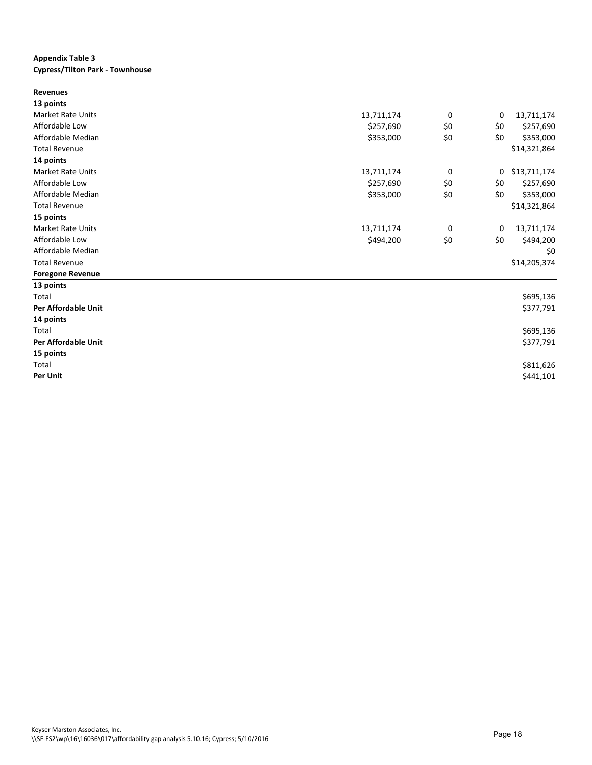#### **Appendix Table 3 Cypress/Tilton Park - Townhouse**

| <b>Revenues</b>            |            |     |     |              |
|----------------------------|------------|-----|-----|--------------|
| 13 points                  |            |     |     |              |
| <b>Market Rate Units</b>   | 13,711,174 | 0   | 0   | 13,711,174   |
| Affordable Low             | \$257,690  | \$0 | \$0 | \$257,690    |
| Affordable Median          | \$353,000  | \$0 | \$0 | \$353,000    |
| <b>Total Revenue</b>       |            |     |     | \$14,321,864 |
| 14 points                  |            |     |     |              |
| <b>Market Rate Units</b>   | 13,711,174 | 0   | 0   | \$13,711,174 |
| Affordable Low             | \$257,690  | \$0 | \$0 | \$257,690    |
| Affordable Median          | \$353,000  | \$0 | \$0 | \$353,000    |
| <b>Total Revenue</b>       |            |     |     | \$14,321,864 |
| 15 points                  |            |     |     |              |
| <b>Market Rate Units</b>   | 13,711,174 | 0   | 0   | 13,711,174   |
| Affordable Low             | \$494,200  | \$0 | \$0 | \$494,200    |
| Affordable Median          |            |     |     | \$0          |
| <b>Total Revenue</b>       |            |     |     | \$14,205,374 |
| <b>Foregone Revenue</b>    |            |     |     |              |
| 13 points                  |            |     |     |              |
| Total                      |            |     |     | \$695,136    |
| <b>Per Affordable Unit</b> |            |     |     | \$377,791    |
| 14 points                  |            |     |     |              |
| Total                      |            |     |     | \$695,136    |
| <b>Per Affordable Unit</b> |            |     |     | \$377,791    |
| 15 points                  |            |     |     |              |
| Total                      |            |     |     | \$811,626    |
| Per Unit                   |            |     |     | \$441,101    |
|                            |            |     |     |              |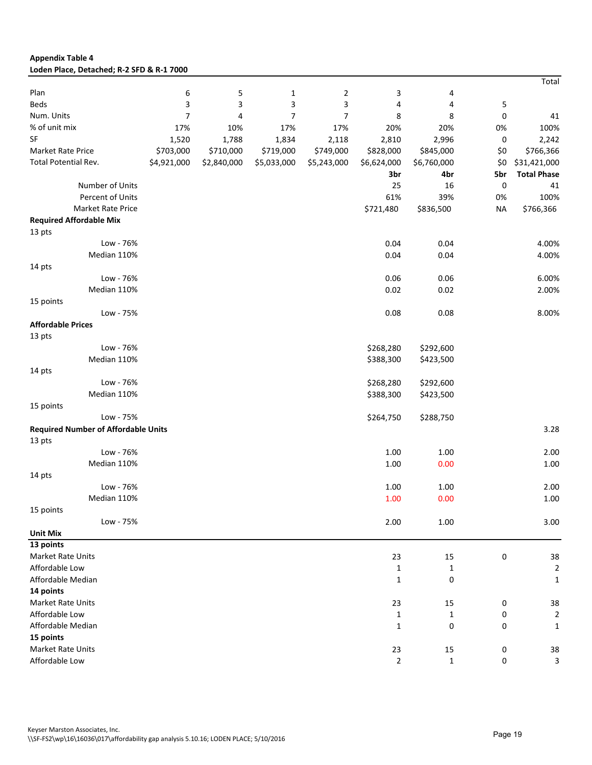| <b>Appendix Table 4</b>                    |             |             |                |                |                |              |           |                    |
|--------------------------------------------|-------------|-------------|----------------|----------------|----------------|--------------|-----------|--------------------|
| Loden Place, Detached; R-2 SFD & R-1 7000  |             |             |                |                |                |              |           |                    |
|                                            |             |             |                |                |                |              |           | Total              |
| Plan                                       | 6           | 5           | 1              | $\overline{2}$ | 3              | 4            |           |                    |
| <b>Beds</b>                                | 3           | 3           | 3              | 3              | 4              | 4            | 5         |                    |
| Num. Units                                 | 7           | 4           | $\overline{7}$ | $\overline{7}$ | 8              | 8            | 0         | 41                 |
| % of unit mix                              | 17%         | 10%         | 17%            | 17%            | 20%            | 20%          | 0%        | 100%               |
| <b>SF</b>                                  | 1,520       | 1,788       | 1,834          | 2,118          | 2,810          | 2,996        | 0         | 2,242              |
| Market Rate Price                          | \$703,000   | \$710,000   | \$719,000      | \$749,000      | \$828,000      | \$845,000    | \$0       | \$766,366          |
| Total Potential Rev.                       | \$4,921,000 | \$2,840,000 | \$5,033,000    | \$5,243,000    | \$6,624,000    | \$6,760,000  | \$0       | \$31,421,000       |
|                                            |             |             |                |                | 3br            | 4br          | 5br       | <b>Total Phase</b> |
| Number of Units                            |             |             |                |                | 25             | 16           | 0         | 41                 |
| Percent of Units                           |             |             |                |                | 61%            | 39%          | 0%        | 100%               |
| Market Rate Price                          |             |             |                |                | \$721,480      | \$836,500    | <b>NA</b> | \$766,366          |
| <b>Required Affordable Mix</b>             |             |             |                |                |                |              |           |                    |
| 13 pts                                     |             |             |                |                |                |              |           |                    |
| Low - 76%                                  |             |             |                |                | 0.04           | 0.04         |           | 4.00%              |
| Median 110%                                |             |             |                |                | 0.04           | 0.04         |           | 4.00%              |
| 14 pts                                     |             |             |                |                |                |              |           |                    |
| Low - 76%                                  |             |             |                |                | 0.06           | 0.06         |           | 6.00%              |
| Median 110%                                |             |             |                |                | 0.02           | 0.02         |           | 2.00%              |
| 15 points                                  |             |             |                |                |                |              |           |                    |
| Low - 75%                                  |             |             |                |                | 0.08           | 0.08         |           | 8.00%              |
| <b>Affordable Prices</b>                   |             |             |                |                |                |              |           |                    |
| 13 pts                                     |             |             |                |                |                |              |           |                    |
| Low - 76%                                  |             |             |                |                | \$268,280      | \$292,600    |           |                    |
| Median 110%                                |             |             |                |                | \$388,300      | \$423,500    |           |                    |
| 14 pts                                     |             |             |                |                |                |              |           |                    |
| Low - 76%                                  |             |             |                |                | \$268,280      | \$292,600    |           |                    |
| Median 110%                                |             |             |                |                | \$388,300      | \$423,500    |           |                    |
| 15 points                                  |             |             |                |                |                |              |           |                    |
| Low - 75%                                  |             |             |                |                | \$264,750      | \$288,750    |           |                    |
| <b>Required Number of Affordable Units</b> |             |             |                |                |                |              |           | 3.28               |
| 13 pts                                     |             |             |                |                |                |              |           |                    |
| Low - 76%                                  |             |             |                |                | 1.00           | 1.00         |           | 2.00               |
| Median 110%                                |             |             |                |                | 1.00           | 0.00         |           | 1.00               |
| 14 pts                                     |             |             |                |                |                |              |           |                    |
| Low - 76%                                  |             |             |                |                | 1.00           | $1.00\,$     |           | 2.00               |
| Median 110%                                |             |             |                |                | 1.00           | 0.00         |           | 1.00               |
| 15 points                                  |             |             |                |                |                |              |           |                    |
| Low - 75%                                  |             |             |                |                | 2.00           | 1.00         |           | 3.00               |
| <b>Unit Mix</b>                            |             |             |                |                |                |              |           |                    |
| 13 points                                  |             |             |                |                |                |              |           |                    |
| Market Rate Units                          |             |             |                |                | 23             | 15           | 0         | 38                 |
| Affordable Low                             |             |             |                |                | 1              | $\mathbf{1}$ |           | $\overline{2}$     |
| Affordable Median                          |             |             |                |                | $\mathbf{1}$   | 0            |           | $\mathbf 1$        |
| 14 points                                  |             |             |                |                |                |              |           |                    |
| Market Rate Units                          |             |             |                |                | 23             | 15           | 0         | 38                 |
| Affordable Low                             |             |             |                |                | 1              | $\mathbf{1}$ | 0         | $\overline{2}$     |
| Affordable Median                          |             |             |                |                | $\mathbf{1}$   | 0            | 0         | $\mathbf{1}$       |
| 15 points                                  |             |             |                |                |                |              |           |                    |
| Market Rate Units                          |             |             |                |                | 23             | 15           |           | 38                 |
| Affordable Low                             |             |             |                |                | $\overline{2}$ |              | 0         |                    |
|                                            |             |             |                |                |                | $\mathbf 1$  | 0         | 3                  |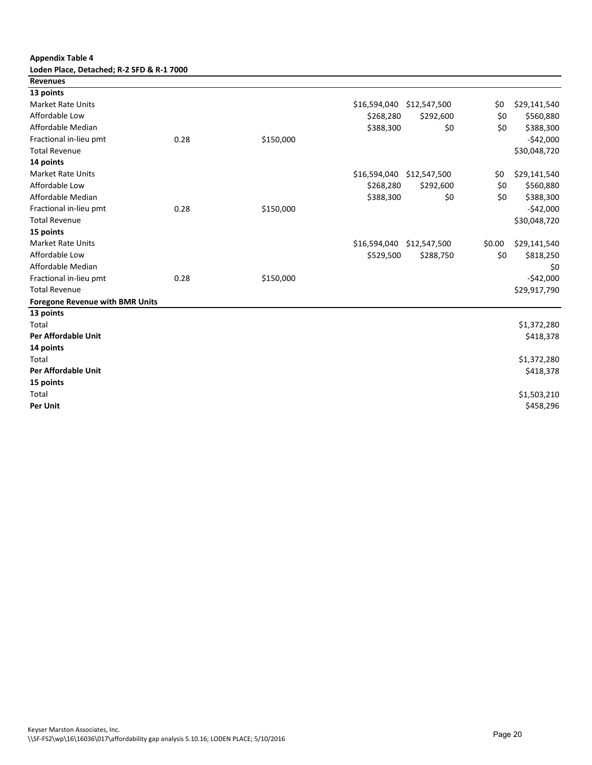# **Appendix Table 4**

| Loden Place, Detached; R-2 SFD & R-1 7000 |  |
|-------------------------------------------|--|
| Revenues                                  |  |

| .                                      |      |           |              |              |        |              |
|----------------------------------------|------|-----------|--------------|--------------|--------|--------------|
| 13 points                              |      |           |              |              |        |              |
| Market Rate Units                      |      |           | \$16,594,040 | \$12,547,500 | \$0    | \$29,141,540 |
| Affordable Low                         |      |           | \$268,280    | \$292,600    | \$0    | \$560,880    |
| Affordable Median                      |      |           | \$388,300    | \$0          | \$0    | \$388,300    |
| Fractional in-lieu pmt                 | 0.28 | \$150,000 |              |              |        | $-$42,000$   |
| <b>Total Revenue</b>                   |      |           |              |              |        | \$30,048,720 |
| 14 points                              |      |           |              |              |        |              |
| <b>Market Rate Units</b>               |      |           | \$16,594,040 | \$12,547,500 | \$0    | \$29,141,540 |
| Affordable Low                         |      |           | \$268,280    | \$292,600    | \$0    | \$560,880    |
| Affordable Median                      |      |           | \$388,300    | \$0          | \$0    | \$388,300    |
| Fractional in-lieu pmt                 | 0.28 | \$150,000 |              |              |        | $-542,000$   |
| <b>Total Revenue</b>                   |      |           |              |              |        | \$30,048,720 |
| 15 points                              |      |           |              |              |        |              |
| <b>Market Rate Units</b>               |      |           | \$16,594,040 | \$12,547,500 | \$0.00 | \$29,141,540 |
| Affordable Low                         |      |           | \$529,500    | \$288,750    | \$0    | \$818,250    |
| Affordable Median                      |      |           |              |              |        | \$0          |
| Fractional in-lieu pmt                 | 0.28 | \$150,000 |              |              |        | $-$42,000$   |
| <b>Total Revenue</b>                   |      |           |              |              |        | \$29,917,790 |
| <b>Foregone Revenue with BMR Units</b> |      |           |              |              |        |              |
| 13 points                              |      |           |              |              |        |              |
| <b>Total</b>                           |      |           |              |              |        | \$1,372,280  |
| <b>Per Affordable Unit</b>             |      |           |              |              |        | \$418,378    |
| 14 points                              |      |           |              |              |        |              |
| <b>Total</b>                           |      |           |              |              |        | \$1,372,280  |
| <b>Per Affordable Unit</b>             |      |           |              |              |        | \$418,378    |
| 15 points                              |      |           |              |              |        |              |
| Total                                  |      |           |              |              |        | \$1,503,210  |
| <b>Per Unit</b>                        |      |           |              |              |        | \$458,296    |
|                                        |      |           |              |              |        |              |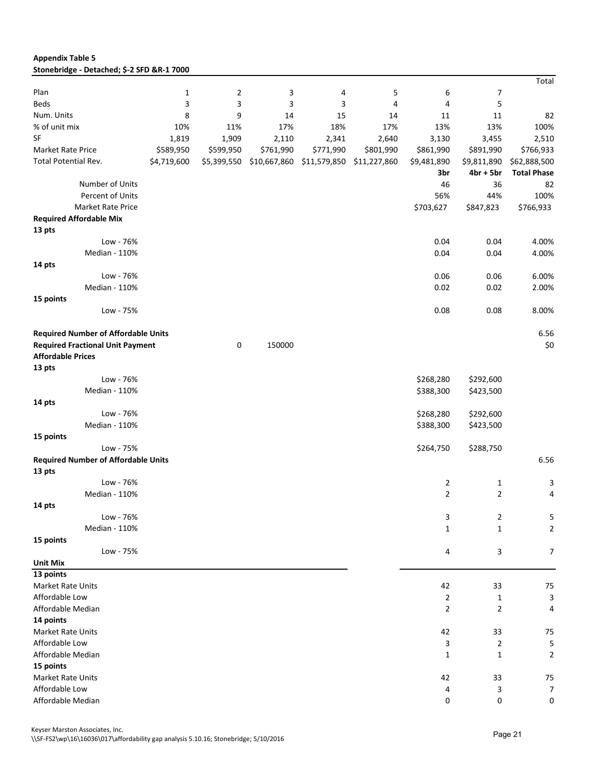| <b>Appendix Table 5</b>                    |
|--------------------------------------------|
| Stonebridge - Detached; \$-2 SFD &R-1 7000 |

|                                            |              |                |              |              |              |                |                | Total              |
|--------------------------------------------|--------------|----------------|--------------|--------------|--------------|----------------|----------------|--------------------|
| Plan                                       | $\mathbf{1}$ | $\overline{2}$ | 3            | 4            | 5            | 6              | 7              |                    |
| <b>Beds</b>                                | 3            | 3              | 3            | 3            | 4            | 4              | 5              |                    |
| Num. Units                                 | 8            | 9              | 14           | 15           | 14           | 11             | 11             | 82                 |
| % of unit mix                              | 10%          | 11%            | 17%          | 18%          | 17%          | 13%            | 13%            | 100%               |
| <b>SF</b>                                  | 1,819        | 1,909          | 2,110        | 2,341        | 2,640        | 3,130          | 3,455          | 2,510              |
| <b>Market Rate Price</b>                   | \$589,950    | \$599,950      | \$761,990    | \$771,990    | \$801,990    | \$861,990      | \$891,990      | \$766,933          |
| <b>Total Potential Rev.</b>                | \$4,719,600  | \$5,399,550    | \$10,667,860 | \$11,579,850 | \$11,227,860 | \$9,481,890    | \$9,811,890    | \$62,888,500       |
|                                            |              |                |              |              |              | 3br            | $4br + 5br$    | <b>Total Phase</b> |
| Number of Units                            |              |                |              |              |              | 46             | 36             | 82                 |
| Percent of Units                           |              |                |              |              |              | 56%            | 44%            | 100%               |
| <b>Market Rate Price</b>                   |              |                |              |              |              | \$703,627      | \$847,823      | \$766,933          |
| <b>Required Affordable Mix</b>             |              |                |              |              |              |                |                |                    |
| 13 pts                                     |              |                |              |              |              |                |                |                    |
| Low - 76%                                  |              |                |              |              |              | 0.04           | 0.04           | 4.00%              |
| Median - 110%                              |              |                |              |              |              | 0.04           | 0.04           | 4.00%              |
| 14 pts                                     |              |                |              |              |              |                |                |                    |
| Low - 76%                                  |              |                |              |              |              | 0.06           | 0.06           | 6.00%              |
| Median - 110%                              |              |                |              |              |              | 0.02           | 0.02           | 2.00%              |
| 15 points                                  |              |                |              |              |              |                |                |                    |
| Low - 75%                                  |              |                |              |              |              | 0.08           | 0.08           | 8.00%              |
| <b>Required Number of Affordable Units</b> |              |                |              |              |              |                |                | 6.56               |
| <b>Required Fractional Unit Payment</b>    |              | 0              | 150000       |              |              |                |                | \$0                |
| <b>Affordable Prices</b>                   |              |                |              |              |              |                |                |                    |
| 13 pts                                     |              |                |              |              |              |                |                |                    |
| Low - 76%                                  |              |                |              |              |              | \$268,280      | \$292,600      |                    |
| Median - 110%                              |              |                |              |              |              | \$388,300      | \$423,500      |                    |
| 14 pts                                     |              |                |              |              |              |                |                |                    |
| Low - 76%                                  |              |                |              |              |              | \$268,280      | \$292,600      |                    |
| Median - 110%                              |              |                |              |              |              | \$388,300      | \$423,500      |                    |
| 15 points                                  |              |                |              |              |              |                |                |                    |
| Low - 75%                                  |              |                |              |              |              | \$264,750      | \$288,750      |                    |
| <b>Required Number of Affordable Units</b> |              |                |              |              |              |                |                | 6.56               |
| 13 pts                                     |              |                |              |              |              |                |                |                    |
| Low - 76%                                  |              |                |              |              |              | 2              | 1              | 3                  |
| Median - 110%                              |              |                |              |              |              | $\overline{2}$ | $\overline{2}$ | 4                  |
| 14 pts                                     |              |                |              |              |              |                |                |                    |
| Low - 76%                                  |              |                |              |              |              | 3              | $\overline{2}$ | 5                  |
| Median - 110%                              |              |                |              |              |              | $\mathbf{1}$   | 1              | $\overline{2}$     |
| 15 points                                  |              |                |              |              |              |                |                |                    |
| Low - 75%                                  |              |                |              |              |              | 4              | 3              | $\overline{7}$     |
| <b>Unit Mix</b>                            |              |                |              |              |              |                |                |                    |
| 13 points                                  |              |                |              |              |              |                |                |                    |
| Market Rate Units                          |              |                |              |              |              | 42             | 33             | 75                 |
| Affordable Low                             |              |                |              |              |              | $\overline{2}$ | $\mathbf{1}$   | $\mathbf{3}$       |
| Affordable Median                          |              |                |              |              |              | $\overline{2}$ | $\overline{2}$ | 4                  |
| 14 points                                  |              |                |              |              |              |                |                |                    |
| Market Rate Units                          |              |                |              |              |              | 42             | 33             | 75                 |
| Affordable Low                             |              |                |              |              |              | 3              | $\overline{2}$ | 5                  |
| Affordable Median                          |              |                |              |              |              | $\mathbf{1}$   | 1              | $\overline{2}$     |
| 15 points                                  |              |                |              |              |              |                |                |                    |
| Market Rate Units                          |              |                |              |              |              | 42             | 33             | 75                 |
| Affordable Low                             |              |                |              |              |              | 4              | 3              | $\overline{7}$     |
| Affordable Median                          |              |                |              |              |              | 0              | 0              | 0                  |

Keyser Marston Associates, Inc.

\\SF-FS2\wp\16\16036\017\affordability gap analysis 5.10.16; Stonebridge; 5/10/2016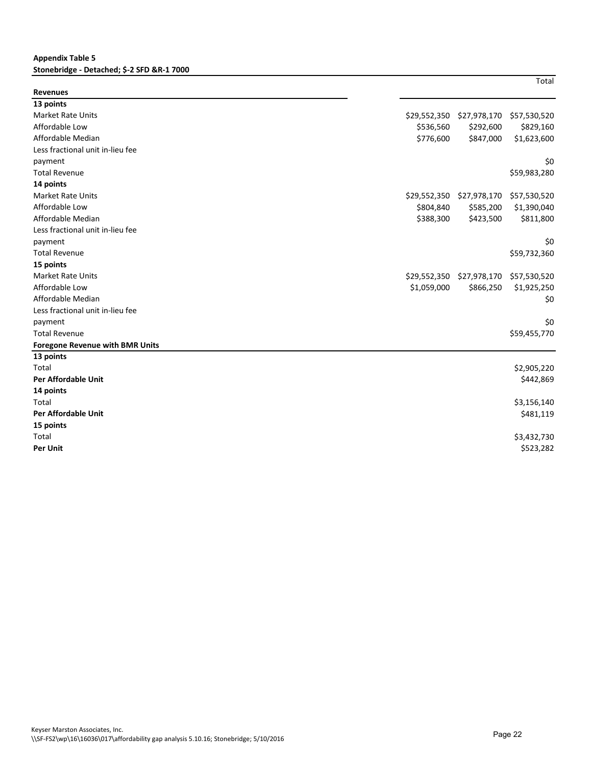#### **Appendix Table 5 Stonebridge - Detached; \$-2 SFD &R-1 7000**

| ×<br>۰,<br>×<br>I |  |
|-------------------|--|
|-------------------|--|

| <b>Revenues</b>                        |              |              |              |
|----------------------------------------|--------------|--------------|--------------|
| 13 points                              |              |              |              |
| <b>Market Rate Units</b>               | \$29,552,350 | \$27,978,170 | \$57,530,520 |
| Affordable Low                         | \$536,560    | \$292,600    | \$829,160    |
| Affordable Median                      | \$776,600    | \$847,000    | \$1,623,600  |
| Less fractional unit in-lieu fee       |              |              |              |
| payment                                |              |              | \$0          |
| <b>Total Revenue</b>                   |              |              | \$59,983,280 |
| 14 points                              |              |              |              |
| <b>Market Rate Units</b>               | \$29,552,350 | \$27,978,170 | \$57,530,520 |
| Affordable Low                         | \$804,840    | \$585,200    | \$1,390,040  |
| Affordable Median                      | \$388,300    | \$423,500    | \$811,800    |
| Less fractional unit in-lieu fee       |              |              |              |
| payment                                |              |              | \$0          |
| <b>Total Revenue</b>                   |              |              | \$59,732,360 |
| 15 points                              |              |              |              |
| <b>Market Rate Units</b>               | \$29,552,350 | \$27,978,170 | \$57,530,520 |
| Affordable Low                         | \$1,059,000  | \$866,250    | \$1,925,250  |
| Affordable Median                      |              |              | \$0          |
| Less fractional unit in-lieu fee       |              |              |              |
| payment                                |              |              | \$0          |
| <b>Total Revenue</b>                   |              |              | \$59,455,770 |
| <b>Foregone Revenue with BMR Units</b> |              |              |              |
| 13 points                              |              |              |              |
| Total                                  |              |              | \$2,905,220  |
| <b>Per Affordable Unit</b>             |              |              | \$442,869    |
| 14 points                              |              |              |              |
| Total                                  |              |              | \$3,156,140  |
| <b>Per Affordable Unit</b>             |              |              | \$481,119    |
| 15 points                              |              |              |              |
| Total                                  |              |              | \$3,432,730  |
| <b>Per Unit</b>                        |              |              | \$523,282    |
|                                        |              |              |              |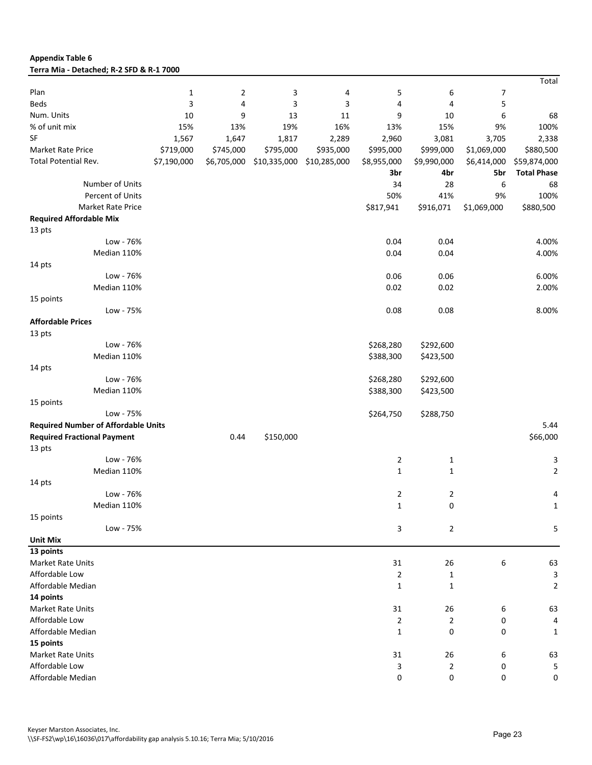| Terra Mia - Detached; R-2 SFD & R-1 7000   |              |                |              |              |                |                     |             |                    |
|--------------------------------------------|--------------|----------------|--------------|--------------|----------------|---------------------|-------------|--------------------|
|                                            |              |                |              |              |                |                     |             | Total              |
| Plan                                       | $\mathbf{1}$ | $\overline{2}$ | 3            | 4            | 5              | 6                   | 7           |                    |
| <b>Beds</b>                                | 3            | 4              | 3            | 3            | 4              | 4                   | 5           |                    |
| Num. Units                                 | 10           | 9              | 13           | 11           | 9              | 10                  | 6           | 68                 |
| % of unit mix                              | 15%          | 13%            | 19%          | 16%          | 13%            | 15%                 | 9%          | 100%               |
| SF                                         | 1,567        | 1,647          | 1,817        | 2,289        | 2,960          | 3,081               | 3,705       | 2,338              |
| Market Rate Price                          | \$719,000    | \$745,000      | \$795,000    | \$935,000    | \$995,000      | \$999,000           | \$1,069,000 | \$880,500          |
| Total Potential Rev.                       | \$7,190,000  | \$6,705,000    | \$10,335,000 | \$10,285,000 | \$8,955,000    | \$9,990,000         | \$6,414,000 | \$59,874,000       |
|                                            |              |                |              |              | 3br            | 4br                 | 5br         | <b>Total Phase</b> |
| Number of Units                            |              |                |              |              | 34             | 28                  | 6           | 68                 |
| Percent of Units                           |              |                |              |              | 50%            | 41%                 | 9%          | 100%               |
| Market Rate Price                          |              |                |              |              | \$817,941      | \$916,071           | \$1,069,000 | \$880,500          |
| <b>Required Affordable Mix</b>             |              |                |              |              |                |                     |             |                    |
| 13 pts                                     |              |                |              |              |                |                     |             |                    |
| Low - 76%                                  |              |                |              |              | 0.04           | 0.04                |             | 4.00%              |
| Median 110%                                |              |                |              |              | 0.04           | 0.04                |             | 4.00%              |
| 14 pts                                     |              |                |              |              |                |                     |             |                    |
| Low - 76%                                  |              |                |              |              | 0.06           | 0.06                |             | 6.00%              |
| Median 110%                                |              |                |              |              | 0.02           | 0.02                |             | 2.00%              |
| 15 points                                  |              |                |              |              |                |                     |             |                    |
| Low - 75%                                  |              |                |              |              | 0.08           | 0.08                |             | 8.00%              |
| <b>Affordable Prices</b>                   |              |                |              |              |                |                     |             |                    |
| 13 pts                                     |              |                |              |              |                |                     |             |                    |
| Low - 76%                                  |              |                |              |              | \$268,280      | \$292,600           |             |                    |
| Median 110%                                |              |                |              |              | \$388,300      | \$423,500           |             |                    |
| 14 pts                                     |              |                |              |              |                |                     |             |                    |
| Low - 76%                                  |              |                |              |              | \$268,280      | \$292,600           |             |                    |
| Median 110%                                |              |                |              |              |                |                     |             |                    |
|                                            |              |                |              |              | \$388,300      | \$423,500           |             |                    |
| 15 points<br>Low - 75%                     |              |                |              |              |                |                     |             |                    |
|                                            |              |                |              |              | \$264,750      | \$288,750           |             |                    |
| <b>Required Number of Affordable Units</b> |              |                |              |              |                |                     |             | 5.44               |
| <b>Required Fractional Payment</b>         |              | 0.44           | \$150,000    |              |                |                     |             | \$66,000           |
| 13 pts                                     |              |                |              |              |                |                     |             |                    |
| Low - 76%                                  |              |                |              |              | 2              | $\mathbf{1}$        |             | 3                  |
| Median 110%                                |              |                |              |              | $\mathbf{1}$   | $\mathbf{1}$        |             | $\overline{2}$     |
| 14 pts                                     |              |                |              |              |                |                     |             |                    |
| Low - 76%                                  |              |                |              |              | 2              | 2                   |             | 4                  |
| Median 110%                                |              |                |              |              | $\mathbf{1}$   | 0                   |             | 1                  |
| 15 points                                  |              |                |              |              |                |                     |             |                    |
| Low - 75%                                  |              |                |              |              | 3              | $\overline{2}$      |             | 5                  |
| <b>Unit Mix</b>                            |              |                |              |              |                |                     |             |                    |
| 13 points                                  |              |                |              |              |                |                     |             |                    |
| Market Rate Units                          |              |                |              |              | 31             | 26                  | 6           | 63                 |
| Affordable Low                             |              |                |              |              | $\overline{2}$ | $\mathbf{1}$        |             | 3                  |
| Affordable Median                          |              |                |              |              | $\mathbf{1}$   | $\mathbf{1}$        |             | $\overline{2}$     |
| 14 points                                  |              |                |              |              |                |                     |             |                    |
| Market Rate Units                          |              |                |              |              | 31             | 26                  | 6           | 63                 |
| Affordable Low                             |              |                |              |              | $\overline{2}$ | $\overline{2}$      | 0           | 4                  |
| Affordable Median                          |              |                |              |              | $\mathbf{1}$   | 0                   | 0           | 1                  |
| 15 points                                  |              |                |              |              |                |                     |             |                    |
| Market Rate Units                          |              |                |              |              | 31             | 26                  | 6           | 63                 |
| Affordable Low                             |              |                |              |              | 3              | $\overline{2}$      | 0           | 5                  |
| Affordable Median                          |              |                |              |              | 0              | $\mathsf{O}\xspace$ | 0           | 0                  |

**Appendix Table 6**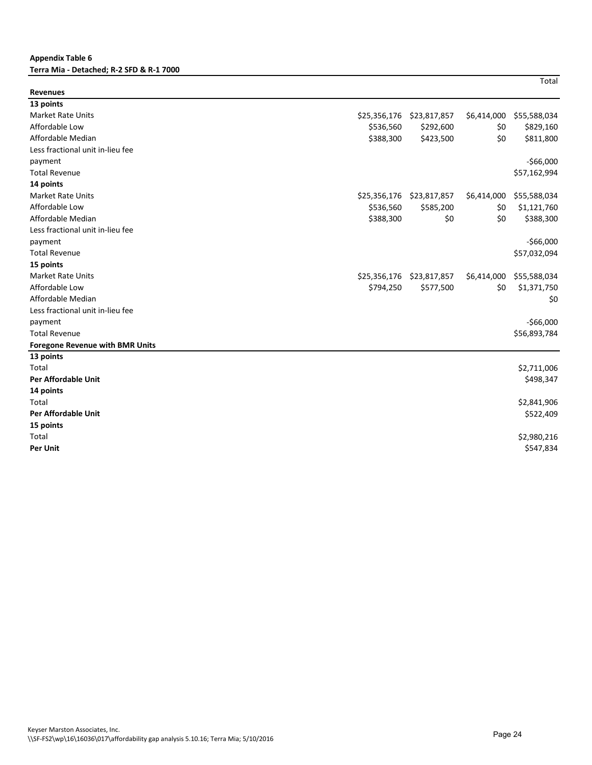#### **Appendix Table 6 Terra Mia - Detached; R-2 SFD & R-1 7000**

**Total** 

| <b>Revenues</b>                        |              |              |             |              |
|----------------------------------------|--------------|--------------|-------------|--------------|
| 13 points                              |              |              |             |              |
| <b>Market Rate Units</b>               | \$25,356,176 | \$23,817,857 | \$6,414,000 | \$55,588,034 |
| Affordable Low                         | \$536,560    | \$292,600    | \$0         | \$829,160    |
| Affordable Median                      | \$388,300    | \$423,500    | \$0         | \$811,800    |
| Less fractional unit in-lieu fee       |              |              |             |              |
| payment                                |              |              |             | $-$66,000$   |
| <b>Total Revenue</b>                   |              |              |             | \$57,162,994 |
| 14 points                              |              |              |             |              |
| <b>Market Rate Units</b>               | \$25,356,176 | \$23,817,857 | \$6,414,000 | \$55,588,034 |
| Affordable Low                         | \$536,560    | \$585,200    | \$0         | \$1,121,760  |
| Affordable Median                      | \$388,300    | \$0          | \$0         | \$388,300    |
| Less fractional unit in-lieu fee       |              |              |             |              |
| payment                                |              |              |             | $-$66,000$   |
| <b>Total Revenue</b>                   |              |              |             | \$57,032,094 |
| 15 points                              |              |              |             |              |
| <b>Market Rate Units</b>               | \$25,356,176 | \$23,817,857 | \$6,414,000 | \$55,588,034 |
| Affordable Low                         | \$794,250    | \$577,500    | \$0         | \$1,371,750  |
| Affordable Median                      |              |              |             | \$0          |
| Less fractional unit in-lieu fee       |              |              |             |              |
| payment                                |              |              |             | $-$66,000$   |
| <b>Total Revenue</b>                   |              |              |             | \$56,893,784 |
| <b>Foregone Revenue with BMR Units</b> |              |              |             |              |
| 13 points                              |              |              |             |              |
| Total                                  |              |              |             | \$2,711,006  |
| Per Affordable Unit                    |              |              |             | \$498,347    |
| 14 points                              |              |              |             |              |
| Total                                  |              |              |             | \$2,841,906  |
| <b>Per Affordable Unit</b>             |              |              |             | \$522,409    |
| 15 points                              |              |              |             |              |
| Total                                  |              |              |             | \$2,980,216  |
| <b>Per Unit</b>                        |              |              |             | \$547,834    |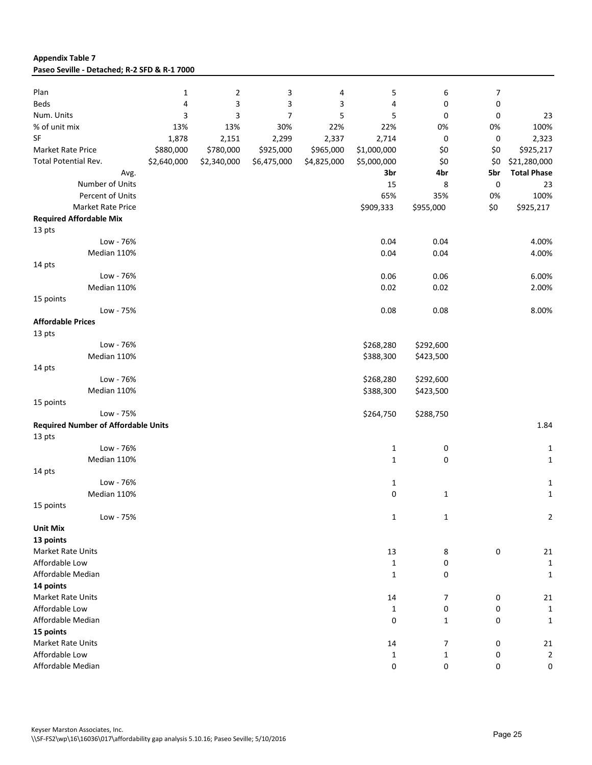| <b>Appendix Table 7</b>                      |  |
|----------------------------------------------|--|
| Paseo Seville - Detached; R-2 SFD & R-1 7000 |  |

| Plan                                       |             |             |             |             |              |              |           |                    |
|--------------------------------------------|-------------|-------------|-------------|-------------|--------------|--------------|-----------|--------------------|
|                                            | 1<br>4      | 2           | 3           | 4           | 5<br>4       | 6            | 7         |                    |
| Beds                                       |             | 3           | 3           | 3           |              | 0            | 0         |                    |
| Num. Units                                 | 3           | 3           | 7           | 5           | 5            | 0            | 0         | 23                 |
| % of unit mix                              | 13%         | 13%         | 30%         | 22%         | 22%          | 0%           | 0%        | 100%               |
| ${\sf SF}$                                 | 1,878       | 2,151       | 2,299       | 2,337       | 2,714        | 0            | 0         | 2,323              |
| Market Rate Price                          | \$880,000   | \$780,000   | \$925,000   | \$965,000   | \$1,000,000  | \$0          | \$0       | \$925,217          |
| Total Potential Rev.                       | \$2,640,000 | \$2,340,000 | \$6,475,000 | \$4,825,000 | \$5,000,000  | \$0          | \$0       | \$21,280,000       |
| Avg.                                       |             |             |             |             | 3br          | 4br          | 5br       | <b>Total Phase</b> |
| Number of Units                            |             |             |             |             | 15           | 8            | $\pmb{0}$ | 23                 |
| Percent of Units                           |             |             |             |             | 65%          | 35%          | 0%        | 100%               |
| <b>Market Rate Price</b>                   |             |             |             |             | \$909,333    | \$955,000    | \$0       | \$925,217          |
| <b>Required Affordable Mix</b>             |             |             |             |             |              |              |           |                    |
| 13 pts                                     |             |             |             |             |              |              |           |                    |
| Low - 76%                                  |             |             |             |             | 0.04         | 0.04         |           | 4.00%              |
| Median 110%                                |             |             |             |             | 0.04         | 0.04         |           | 4.00%              |
| 14 pts                                     |             |             |             |             |              |              |           |                    |
| Low - 76%                                  |             |             |             |             | 0.06         | 0.06         |           | 6.00%              |
| Median 110%                                |             |             |             |             | 0.02         | 0.02         |           | 2.00%              |
| 15 points                                  |             |             |             |             |              |              |           |                    |
| Low - 75%                                  |             |             |             |             | 0.08         | 0.08         |           | 8.00%              |
| <b>Affordable Prices</b>                   |             |             |             |             |              |              |           |                    |
| 13 pts                                     |             |             |             |             |              |              |           |                    |
| Low - 76%                                  |             |             |             |             | \$268,280    | \$292,600    |           |                    |
| Median 110%                                |             |             |             |             | \$388,300    | \$423,500    |           |                    |
| 14 pts                                     |             |             |             |             |              |              |           |                    |
| Low - 76%                                  |             |             |             |             | \$268,280    | \$292,600    |           |                    |
| Median 110%                                |             |             |             |             | \$388,300    | \$423,500    |           |                    |
| 15 points                                  |             |             |             |             |              |              |           |                    |
| Low - 75%                                  |             |             |             |             | \$264,750    | \$288,750    |           |                    |
| <b>Required Number of Affordable Units</b> |             |             |             |             |              |              |           | 1.84               |
|                                            |             |             |             |             |              |              |           |                    |
| 13 pts<br>Low - 76%                        |             |             |             |             |              |              |           |                    |
|                                            |             |             |             |             | 1            | 0            |           | 1                  |
| Median 110%                                |             |             |             |             | $\mathbf{1}$ | 0            |           | $\mathbf{1}$       |
| 14 pts                                     |             |             |             |             |              |              |           |                    |
| Low - 76%                                  |             |             |             |             | $\mathbf{1}$ |              |           | 1                  |
| Median 110%                                |             |             |             |             | 0            | $\mathbf{1}$ |           | $\mathbf{1}$       |
| 15 points                                  |             |             |             |             |              |              |           |                    |
| Low - 75%                                  |             |             |             |             | $\mathbf 1$  | $\mathbf 1$  |           | $\overline{2}$     |
| <b>Unit Mix</b>                            |             |             |             |             |              |              |           |                    |
| 13 points                                  |             |             |             |             |              |              |           |                    |
| Market Rate Units                          |             |             |             |             | 13           | 8            | 0         | 21                 |
| Affordable Low                             |             |             |             |             | $\mathbf{1}$ | 0            |           | $\mathbf{1}$       |
| Affordable Median                          |             |             |             |             | $\mathbf{1}$ | 0            |           | 1                  |
| 14 points                                  |             |             |             |             |              |              |           |                    |
| Market Rate Units                          |             |             |             |             | 14           | 7            | 0         | 21                 |
| Affordable Low                             |             |             |             |             | $\mathbf{1}$ | 0            | 0         | $\mathbf{1}$       |
| Affordable Median                          |             |             |             |             | 0            | $\mathbf{1}$ | 0         | 1                  |
| 15 points                                  |             |             |             |             |              |              |           |                    |
| Market Rate Units                          |             |             |             |             | 14           | 7            | 0         | 21                 |
| Affordable Low                             |             |             |             |             | $\mathbf{1}$ | $\mathbf{1}$ | 0         | $\overline{2}$     |
| Affordable Median                          |             |             |             |             | 0            | 0            | 0         | 0                  |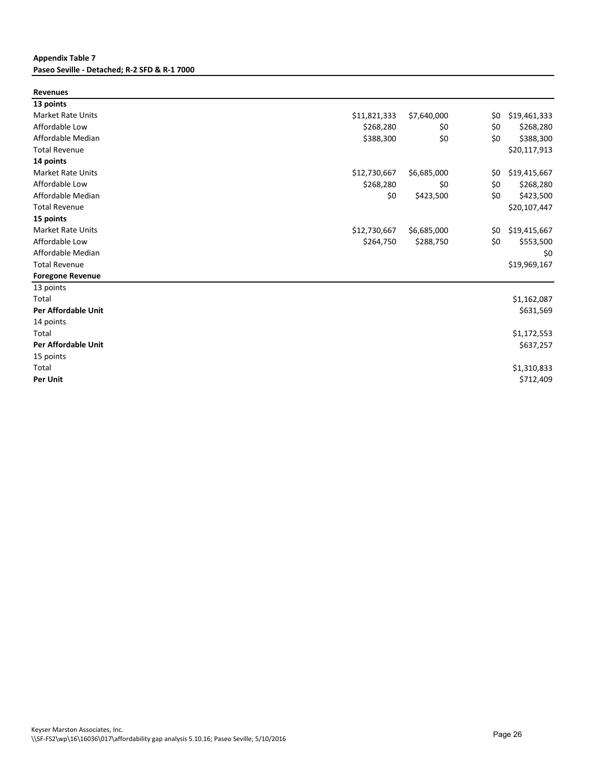#### **Appendix Table 7 Paseo Seville - Detached; R-2 SFD & R-1 7000**

| <b>Revenues</b>            |              |             |     |              |
|----------------------------|--------------|-------------|-----|--------------|
| 13 points                  |              |             |     |              |
| <b>Market Rate Units</b>   | \$11,821,333 | \$7,640,000 | \$0 | \$19,461,333 |
| Affordable Low             | \$268,280    | \$0         | \$0 | \$268,280    |
| Affordable Median          | \$388,300    | \$0         | \$0 | \$388,300    |
| <b>Total Revenue</b>       |              |             |     | \$20,117,913 |
| 14 points                  |              |             |     |              |
| <b>Market Rate Units</b>   | \$12,730,667 | \$6,685,000 | \$0 | \$19,415,667 |
| Affordable Low             | \$268,280    | \$0         | \$0 | \$268,280    |
| Affordable Median          | \$0          | \$423,500   | \$0 | \$423,500    |
| <b>Total Revenue</b>       |              |             |     | \$20,107,447 |
| 15 points                  |              |             |     |              |
| <b>Market Rate Units</b>   | \$12,730,667 | \$6,685,000 | \$0 | \$19,415,667 |
| Affordable Low             | \$264,750    | \$288,750   | \$0 | \$553,500    |
| Affordable Median          |              |             |     | \$0          |
| <b>Total Revenue</b>       |              |             |     | \$19,969,167 |
| <b>Foregone Revenue</b>    |              |             |     |              |
| 13 points                  |              |             |     |              |
| Total                      |              |             |     | \$1,162,087  |
| <b>Per Affordable Unit</b> |              |             |     | \$631,569    |
| 14 points                  |              |             |     |              |
| Total                      |              |             |     | \$1,172,553  |
| <b>Per Affordable Unit</b> |              |             |     | \$637,257    |
| 15 points                  |              |             |     |              |
| Total                      |              |             |     | \$1,310,833  |
| <b>Per Unit</b>            |              |             |     | \$712,409    |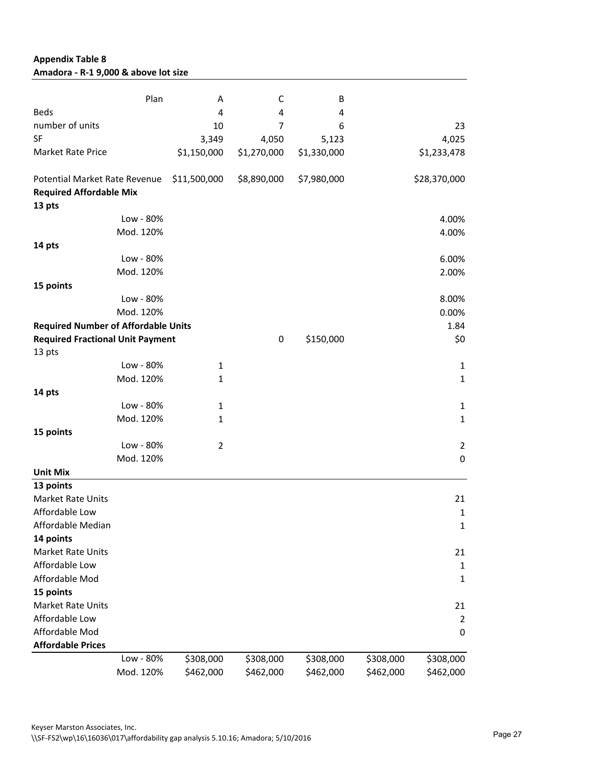| Amadora - R-1 9,000 & above lot size                            |           |                |                |             |           |                  |
|-----------------------------------------------------------------|-----------|----------------|----------------|-------------|-----------|------------------|
|                                                                 | Plan      | А              | C              | В           |           |                  |
| <b>Beds</b>                                                     |           | 4              | 4              | 4           |           |                  |
| number of units                                                 |           | 10             | $\overline{7}$ | 6           |           | 23               |
| <b>SF</b>                                                       |           | 3,349          | 4,050          | 5,123       |           | 4,025            |
| <b>Market Rate Price</b>                                        |           | \$1,150,000    | \$1,270,000    | \$1,330,000 |           | \$1,233,478      |
| Potential Market Rate Revenue<br><b>Required Affordable Mix</b> |           | \$11,500,000   | \$8,890,000    | \$7,980,000 |           | \$28,370,000     |
| 13 pts                                                          |           |                |                |             |           |                  |
|                                                                 | Low - 80% |                |                |             |           | 4.00%            |
|                                                                 | Mod. 120% |                |                |             |           | 4.00%            |
| 14 pts                                                          |           |                |                |             |           |                  |
|                                                                 | Low - 80% |                |                |             |           | 6.00%            |
|                                                                 | Mod. 120% |                |                |             |           | 2.00%            |
| 15 points                                                       |           |                |                |             |           |                  |
|                                                                 | Low - 80% |                |                |             |           | 8.00%            |
|                                                                 | Mod. 120% |                |                |             |           | 0.00%            |
|                                                                 |           |                |                |             |           |                  |
| <b>Required Number of Affordable Units</b>                      |           |                |                |             |           | 1.84             |
| <b>Required Fractional Unit Payment</b><br>13 pts               |           |                | 0              | \$150,000   |           | \$0              |
|                                                                 | Low - 80% | $\mathbf{1}$   |                |             |           | $\mathbf{1}$     |
|                                                                 | Mod. 120% | $\mathbf{1}$   |                |             |           | $\mathbf{1}$     |
| 14 pts                                                          |           |                |                |             |           |                  |
|                                                                 | Low - 80% | $\mathbf{1}$   |                |             |           | $\mathbf 1$      |
|                                                                 | Mod. 120% | $\mathbf{1}$   |                |             |           | $\mathbf 1$      |
| 15 points                                                       |           |                |                |             |           |                  |
|                                                                 |           |                |                |             |           |                  |
|                                                                 | Low - 80% | $\overline{2}$ |                |             |           | $\overline{2}$   |
|                                                                 | Mod. 120% |                |                |             |           | $\boldsymbol{0}$ |
| <b>Unit Mix</b>                                                 |           |                |                |             |           |                  |
| 13 points                                                       |           |                |                |             |           |                  |
| <b>Market Rate Units</b>                                        |           |                |                |             |           | 21               |
| Affordable Low                                                  |           |                |                |             |           | 1                |
| Affordable Median                                               |           |                |                |             |           | $\mathbf{1}$     |
| 14 points                                                       |           |                |                |             |           |                  |
| <b>Market Rate Units</b>                                        |           |                |                |             |           | 21               |
| Affordable Low                                                  |           |                |                |             |           | $\mathbf 1$      |
| Affordable Mod                                                  |           |                |                |             |           | $\mathbf{1}$     |
| 15 points                                                       |           |                |                |             |           |                  |
| Market Rate Units                                               |           |                |                |             |           | 21               |
| Affordable Low                                                  |           |                |                |             |           | $\overline{2}$   |
| Affordable Mod                                                  |           |                |                |             |           | $\boldsymbol{0}$ |
| <b>Affordable Prices</b>                                        |           |                |                |             |           |                  |
|                                                                 | Low - 80% | \$308,000      | \$308,000      | \$308,000   | \$308,000 | \$308,000        |
|                                                                 | Mod. 120% | \$462,000      | \$462,000      | \$462,000   | \$462,000 | \$462,000        |

#### **Appendix Table 8 Amadora - R-1 9,000 & above lot size**